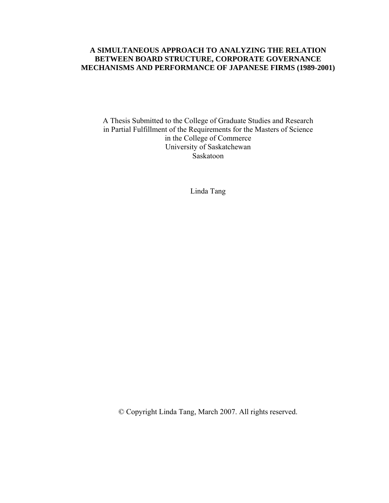#### **A SIMULTANEOUS APPROACH TO ANALYZING THE RELATION BETWEEN BOARD STRUCTURE, CORPORATE GOVERNANCE MECHANISMS AND PERFORMANCE OF JAPANESE FIRMS (1989-2001)**

A Thesis Submitted to the College of Graduate Studies and Research in Partial Fulfillment of the Requirements for the Masters of Science in the College of Commerce University of Saskatchewan Saskatoon

Linda Tang

© Copyright Linda Tang, March 2007. All rights reserved.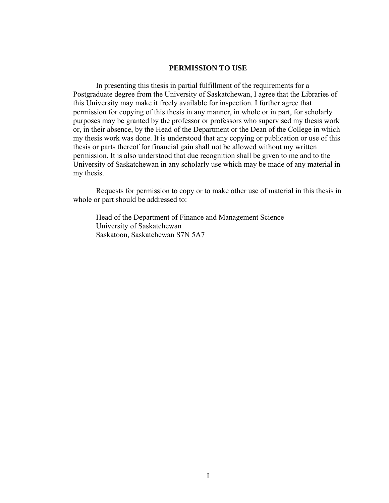#### **PERMISSION TO USE**

In presenting this thesis in partial fulfillment of the requirements for a Postgraduate degree from the University of Saskatchewan, I agree that the Libraries of this University may make it freely available for inspection. I further agree that permission for copying of this thesis in any manner, in whole or in part, for scholarly purposes may be granted by the professor or professors who supervised my thesis work or, in their absence, by the Head of the Department or the Dean of the College in which my thesis work was done. It is understood that any copying or publication or use of this thesis or parts thereof for financial gain shall not be allowed without my written permission. It is also understood that due recognition shall be given to me and to the University of Saskatchewan in any scholarly use which may be made of any material in my thesis.

 Requests for permission to copy or to make other use of material in this thesis in whole or part should be addressed to:

 Head of the Department of Finance and Management Science University of Saskatchewan Saskatoon, Saskatchewan S7N 5A7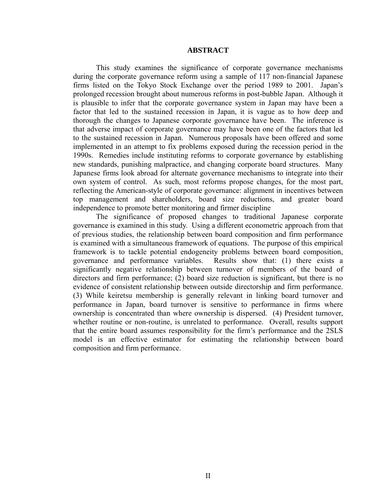#### **ABSTRACT**

This study examines the significance of corporate governance mechanisms during the corporate governance reform using a sample of 117 non-financial Japanese firms listed on the Tokyo Stock Exchange over the period 1989 to 2001. Japan's prolonged recession brought about numerous reforms in post-bubble Japan. Although it is plausible to infer that the corporate governance system in Japan may have been a factor that led to the sustained recession in Japan, it is vague as to how deep and thorough the changes to Japanese corporate governance have been. The inference is that adverse impact of corporate governance may have been one of the factors that led to the sustained recession in Japan. Numerous proposals have been offered and some implemented in an attempt to fix problems exposed during the recession period in the 1990s. Remedies include instituting reforms to corporate governance by establishing new standards, punishing malpractice, and changing corporate board structures. Many Japanese firms look abroad for alternate governance mechanisms to integrate into their own system of control. As such, most reforms propose changes, for the most part, reflecting the American-style of corporate governance: alignment in incentives between top management and shareholders, board size reductions, and greater board independence to promote better monitoring and firmer discipline

The significance of proposed changes to traditional Japanese corporate governance is examined in this study. Using a different econometric approach from that of previous studies, the relationship between board composition and firm performance is examined with a simultaneous framework of equations. The purpose of this empirical framework is to tackle potential endogeneity problems between board composition, governance and performance variables. Results show that: (1) there exists a significantly negative relationship between turnover of members of the board of directors and firm performance; (2) board size reduction is significant, but there is no evidence of consistent relationship between outside directorship and firm performance. (3) While keiretsu membership is generally relevant in linking board turnover and performance in Japan, board turnover is sensitive to performance in firms where ownership is concentrated than where ownership is dispersed. (4) President turnover, whether routine or non-routine, is unrelated to performance. Overall, results support that the entire board assumes responsibility for the firm's performance and the 2SLS model is an effective estimator for estimating the relationship between board composition and firm performance.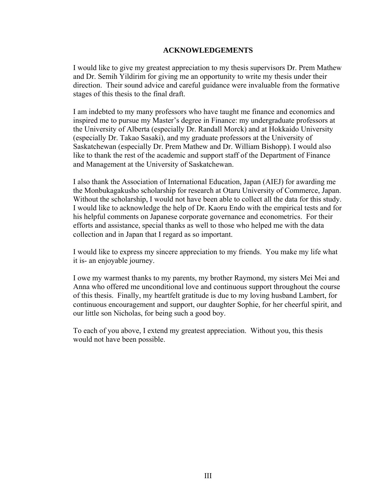#### **ACKNOWLEDGEMENTS**

I would like to give my greatest appreciation to my thesis supervisors Dr. Prem Mathew and Dr. Semih Yildirim for giving me an opportunity to write my thesis under their direction. Their sound advice and careful guidance were invaluable from the formative stages of this thesis to the final draft.

I am indebted to my many professors who have taught me finance and economics and inspired me to pursue my Master's degree in Finance: my undergraduate professors at the University of Alberta (especially Dr. Randall Morck) and at Hokkaido University (especially Dr. Takao Sasaki), and my graduate professors at the University of Saskatchewan (especially Dr. Prem Mathew and Dr. William Bishopp). I would also like to thank the rest of the academic and support staff of the Department of Finance and Management at the University of Saskatchewan.

I also thank the Association of International Education, Japan (AIEJ) for awarding me the Monbukagakusho scholarship for research at Otaru University of Commerce, Japan. Without the scholarship, I would not have been able to collect all the data for this study. I would like to acknowledge the help of Dr. Kaoru Endo with the empirical tests and for his helpful comments on Japanese corporate governance and econometrics. For their efforts and assistance, special thanks as well to those who helped me with the data collection and in Japan that I regard as so important.

I would like to express my sincere appreciation to my friends. You make my life what it is- an enjoyable journey.

I owe my warmest thanks to my parents, my brother Raymond, my sisters Mei Mei and Anna who offered me unconditional love and continuous support throughout the course of this thesis. Finally, my heartfelt gratitude is due to my loving husband Lambert, for continuous encouragement and support, our daughter Sophie, for her cheerful spirit, and our little son Nicholas, for being such a good boy.

To each of you above, I extend my greatest appreciation. Without you, this thesis would not have been possible.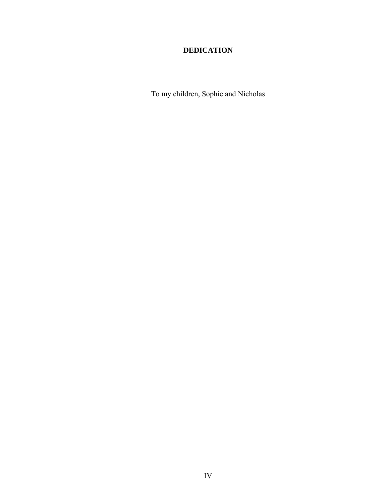## **DEDICATION**

To my children, Sophie and Nicholas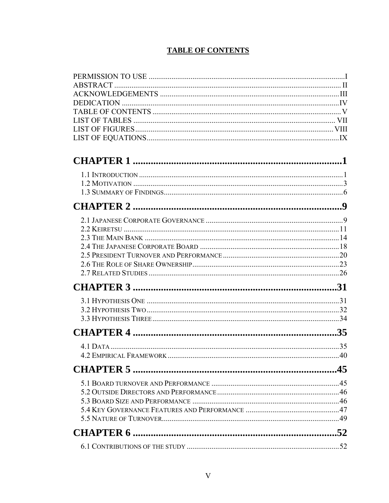## **TABLE OF CONTENTS**

| 45 |
|----|
|    |
|    |
|    |
|    |
|    |
|    |
|    |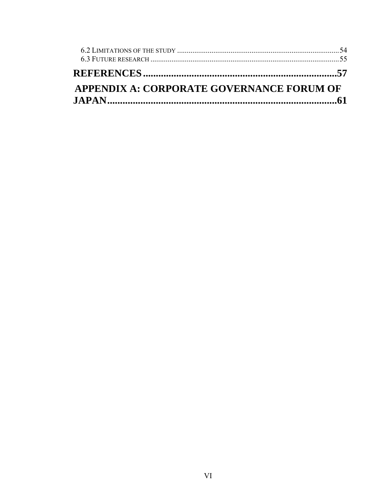| APPENDIX A: CORPORATE GOVERNANCE FORUM OF |  |
|-------------------------------------------|--|
|                                           |  |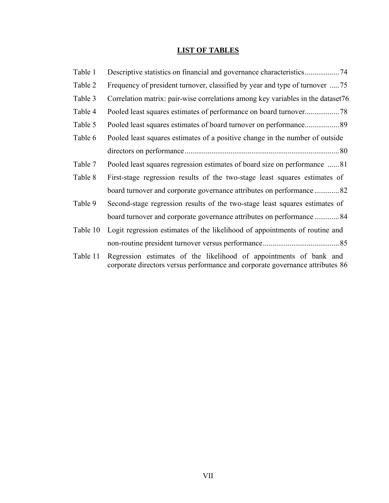# **LIST OF TABLES**

| Table 1  |                                                                                 |
|----------|---------------------------------------------------------------------------------|
| Table 2  | Frequency of president turnover, classified by year and type of turnover  75    |
| Table 3  | Correlation matrix: pair-wise correlations among key variables in the dataset76 |
| Table 4  |                                                                                 |
| Table 5  | Pooled least squares estimates of board turnover on performance 89              |
| Table 6  | Pooled least squares estimates of a positive change in the number of outside    |
|          |                                                                                 |
| Table 7  | Pooled least squares regression estimates of board size on performance 81       |
| Table 8  | First-stage regression results of the two-stage least squares estimates of      |
|          | board turnover and corporate governance attributes on performance 82            |
| Table 9  | Second-stage regression results of the two-stage least squares estimates of     |
|          | board turnover and corporate governance attributes on performance  84           |
| Table 10 | Logit regression estimates of the likelihood of appointments of routine and     |
|          |                                                                                 |
| Table 11 | Regression estimates of the likelihood of appointments of bank and              |

corporate directors versus performance and corporate governance attributes 86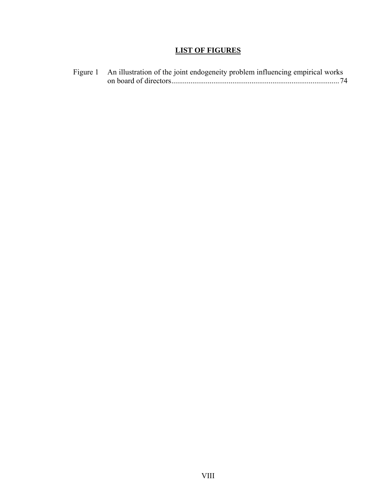### **LIST OF FIGURES**

Figure 1 An illustration of the joint endogeneity problem influencing empirical works on board of directors........................................................................................74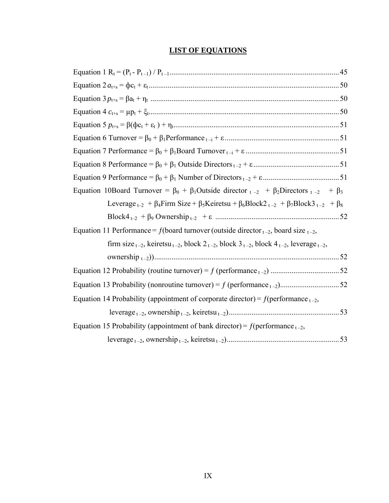## **LIST OF EQUATIONS**

| Equation 10Board Turnover = $\beta_0$ + $\beta_1$ Outside director $t - 2$ + $\beta_2$ Directors $t - 2$ + $\beta_3$                               |  |
|----------------------------------------------------------------------------------------------------------------------------------------------------|--|
| Leverage <sub>t-2</sub> + $\beta_4$ Firm Size + $\beta_5$ Keiretsu + $\beta_6$ Block2 <sub>t-2</sub> + $\beta_7$ Block3 <sub>t-2</sub> + $\beta_8$ |  |
|                                                                                                                                                    |  |
|                                                                                                                                                    |  |
| Equation 11 Performance = f(board turnover (outside director $_{t-2}$ , board size $_{t-2}$ ,                                                      |  |
| firm size $_{t-2}$ , keiretsu $_{t-2}$ , block $2_{t-2}$ , block $3_{t-2}$ , block $4_{t-2}$ , leverage $_{t-2}$ ,                                 |  |
|                                                                                                                                                    |  |
|                                                                                                                                                    |  |
|                                                                                                                                                    |  |
| Equation 14 Probability (appointment of corporate director) = $f(\text{performance}_{t-2},$                                                        |  |
|                                                                                                                                                    |  |
| Equation 15 Probability (appointment of bank director) = $f(\text{performance}_{t-2},$                                                             |  |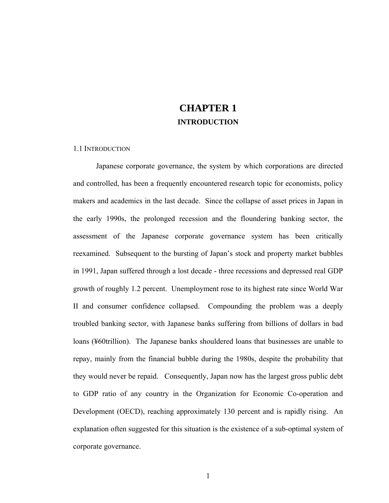# **CHAPTER 1 INTRODUCTION**

#### 1.1 INTRODUCTION

Japanese corporate governance, the system by which corporations are directed and controlled, has been a frequently encountered research topic for economists, policy makers and academics in the last decade. Since the collapse of asset prices in Japan in the early 1990s, the prolonged recession and the floundering banking sector, the assessment of the Japanese corporate governance system has been critically reexamined. Subsequent to the bursting of Japan's stock and property market bubbles in 1991, Japan suffered through a lost decade - three recessions and depressed real GDP growth of roughly 1.2 percent. Unemployment rose to its highest rate since World War II and consumer confidence collapsed. Compounding the problem was a deeply troubled banking sector, with Japanese banks suffering from billions of dollars in bad loans (¥60trillion). The Japanese banks shouldered loans that businesses are unable to repay, mainly from the financial bubble during the 1980s, despite the probability that they would never be repaid. Consequently, Japan now has the largest gross public debt to GDP ratio of any country in the Organization for Economic Co-operation and Development (OECD), reaching approximately 130 percent and is rapidly rising. An explanation often suggested for this situation is the existence of a sub-optimal system of corporate governance.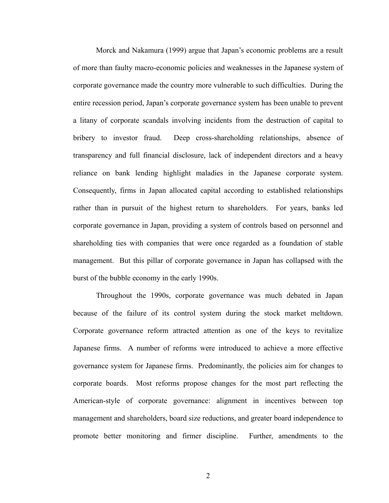Morck and Nakamura (1999) argue that Japan's economic problems are a result of more than faulty macro-economic policies and weaknesses in the Japanese system of corporate governance made the country more vulnerable to such difficulties. During the entire recession period, Japan's corporate governance system has been unable to prevent a litany of corporate scandals involving incidents from the destruction of capital to bribery to investor fraud. Deep cross-shareholding relationships, absence of transparency and full financial disclosure, lack of independent directors and a heavy reliance on bank lending highlight maladies in the Japanese corporate system. Consequently, firms in Japan allocated capital according to established relationships rather than in pursuit of the highest return to shareholders. For years, banks led corporate governance in Japan, providing a system of controls based on personnel and shareholding ties with companies that were once regarded as a foundation of stable management. But this pillar of corporate governance in Japan has collapsed with the burst of the bubble economy in the early 1990s.

Throughout the 1990s, corporate governance was much debated in Japan because of the failure of its control system during the stock market meltdown. Corporate governance reform attracted attention as one of the keys to revitalize Japanese firms. A number of reforms were introduced to achieve a more effective governance system for Japanese firms. Predominantly, the policies aim for changes to corporate boards. Most reforms propose changes for the most part reflecting the American-style of corporate governance: alignment in incentives between top management and shareholders, board size reductions, and greater board independence to promote better monitoring and firmer discipline. Further, amendments to the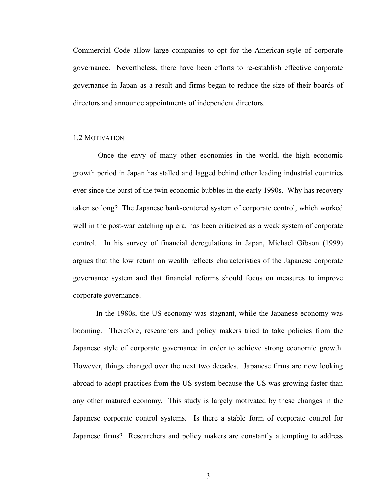Commercial Code allow large companies to opt for the American-style of corporate governance. Nevertheless, there have been efforts to re-establish effective corporate governance in Japan as a result and firms began to reduce the size of their boards of directors and announce appointments of independent directors.

#### 1.2 MOTIVATION

 Once the envy of many other economies in the world, the high economic growth period in Japan has stalled and lagged behind other leading industrial countries ever since the burst of the twin economic bubbles in the early 1990s. Why has recovery taken so long? The Japanese bank-centered system of corporate control, which worked well in the post-war catching up era, has been criticized as a weak system of corporate control. In his survey of financial deregulations in Japan, Michael Gibson (1999) argues that the low return on wealth reflects characteristics of the Japanese corporate governance system and that financial reforms should focus on measures to improve corporate governance.

In the 1980s, the US economy was stagnant, while the Japanese economy was booming. Therefore, researchers and policy makers tried to take policies from the Japanese style of corporate governance in order to achieve strong economic growth. However, things changed over the next two decades. Japanese firms are now looking abroad to adopt practices from the US system because the US was growing faster than any other matured economy. This study is largely motivated by these changes in the Japanese corporate control systems. Is there a stable form of corporate control for Japanese firms? Researchers and policy makers are constantly attempting to address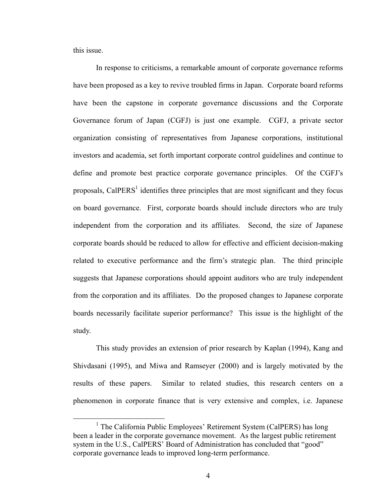this issue.

In response to criticisms, a remarkable amount of corporate governance reforms have been proposed as a key to revive troubled firms in Japan. Corporate board reforms have been the capstone in corporate governance discussions and the Corporate Governance forum of Japan (CGFJ) is just one example. CGFJ, a private sector organization consisting of representatives from Japanese corporations, institutional investors and academia, set forth important corporate control guidelines and continue to define and promote best practice corporate governance principles. Of the CGFJ's proposals, Cal $PERS<sup>1</sup>$  identifies three principles that are most significant and they focus on board governance. First, corporate boards should include directors who are truly independent from the corporation and its affiliates. Second, the size of Japanese corporate boards should be reduced to allow for effective and efficient decision-making related to executive performance and the firm's strategic plan. The third principle suggests that Japanese corporations should appoint auditors who are truly independent from the corporation and its affiliates. Do the proposed changes to Japanese corporate boards necessarily facilitate superior performance? This issue is the highlight of the study.

This study provides an extension of prior research by Kaplan (1994), Kang and Shivdasani (1995), and Miwa and Ramseyer (2000) and is largely motivated by the results of these papers. Similar to related studies, this research centers on a phenomenon in corporate finance that is very extensive and complex, i.e. Japanese

<sup>&</sup>lt;u>1</u> <sup>1</sup> The California Public Employees' Retirement System (CalPERS) has long been a leader in the corporate governance movement. As the largest public retirement system in the U.S., CalPERS' Board of Administration has concluded that "good" corporate governance leads to improved long-term performance.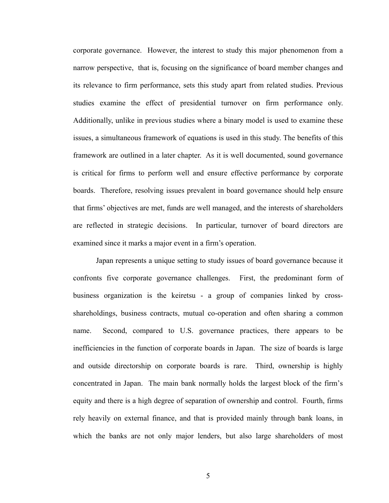corporate governance. However, the interest to study this major phenomenon from a narrow perspective, that is, focusing on the significance of board member changes and its relevance to firm performance, sets this study apart from related studies. Previous studies examine the effect of presidential turnover on firm performance only. Additionally, unlike in previous studies where a binary model is used to examine these issues, a simultaneous framework of equations is used in this study. The benefits of this framework are outlined in a later chapter. As it is well documented, sound governance is critical for firms to perform well and ensure effective performance by corporate boards. Therefore, resolving issues prevalent in board governance should help ensure that firms' objectives are met, funds are well managed, and the interests of shareholders are reflected in strategic decisions. In particular, turnover of board directors are examined since it marks a major event in a firm's operation.

Japan represents a unique setting to study issues of board governance because it confronts five corporate governance challenges. First, the predominant form of business organization is the keiretsu - a group of companies linked by crossshareholdings, business contracts, mutual co-operation and often sharing a common name. Second, compared to U.S. governance practices, there appears to be inefficiencies in the function of corporate boards in Japan. The size of boards is large and outside directorship on corporate boards is rare. Third, ownership is highly concentrated in Japan. The main bank normally holds the largest block of the firm's equity and there is a high degree of separation of ownership and control. Fourth, firms rely heavily on external finance, and that is provided mainly through bank loans, in which the banks are not only major lenders, but also large shareholders of most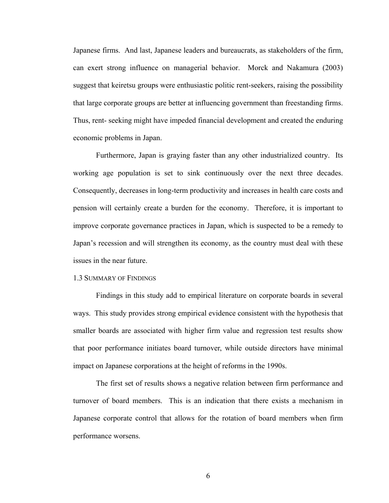Japanese firms. And last, Japanese leaders and bureaucrats, as stakeholders of the firm, can exert strong influence on managerial behavior. Morck and Nakamura (2003) suggest that keiretsu groups were enthusiastic politic rent-seekers, raising the possibility that large corporate groups are better at influencing government than freestanding firms. Thus, rent- seeking might have impeded financial development and created the enduring economic problems in Japan.

Furthermore, Japan is graying faster than any other industrialized country. Its working age population is set to sink continuously over the next three decades. Consequently, decreases in long-term productivity and increases in health care costs and pension will certainly create a burden for the economy. Therefore, it is important to improve corporate governance practices in Japan, which is suspected to be a remedy to Japan's recession and will strengthen its economy, as the country must deal with these issues in the near future.

#### 1.3 SUMMARY OF FINDINGS

Findings in this study add to empirical literature on corporate boards in several ways. This study provides strong empirical evidence consistent with the hypothesis that smaller boards are associated with higher firm value and regression test results show that poor performance initiates board turnover, while outside directors have minimal impact on Japanese corporations at the height of reforms in the 1990s.

The first set of results shows a negative relation between firm performance and turnover of board members. This is an indication that there exists a mechanism in Japanese corporate control that allows for the rotation of board members when firm performance worsens.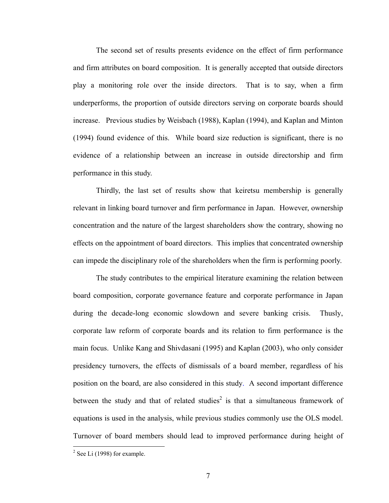The second set of results presents evidence on the effect of firm performance and firm attributes on board composition. It is generally accepted that outside directors play a monitoring role over the inside directors. That is to say, when a firm underperforms, the proportion of outside directors serving on corporate boards should increase. Previous studies by Weisbach (1988), Kaplan (1994), and Kaplan and Minton (1994) found evidence of this. While board size reduction is significant, there is no evidence of a relationship between an increase in outside directorship and firm performance in this study.

Thirdly, the last set of results show that keiretsu membership is generally relevant in linking board turnover and firm performance in Japan. However, ownership concentration and the nature of the largest shareholders show the contrary, showing no effects on the appointment of board directors. This implies that concentrated ownership can impede the disciplinary role of the shareholders when the firm is performing poorly.

The study contributes to the empirical literature examining the relation between board composition, corporate governance feature and corporate performance in Japan during the decade-long economic slowdown and severe banking crisis. Thusly, corporate law reform of corporate boards and its relation to firm performance is the main focus. Unlike Kang and Shivdasani (1995) and Kaplan (2003), who only consider presidency turnovers, the effects of dismissals of a board member, regardless of his position on the board, are also considered in this study. A second important difference between the study and that of related studies<sup>2</sup> is that a simultaneous framework of equations is used in the analysis, while previous studies commonly use the OLS model. Turnover of board members should lead to improved performance during height of

 $\overline{a}$ 

 $2$  See Li (1998) for example.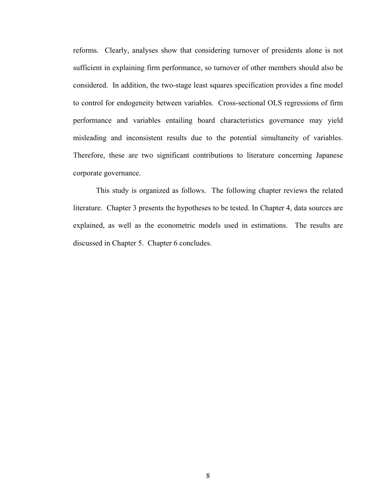reforms. Clearly, analyses show that considering turnover of presidents alone is not sufficient in explaining firm performance, so turnover of other members should also be considered. In addition, the two-stage least squares specification provides a fine model to control for endogeneity between variables. Cross-sectional OLS regressions of firm performance and variables entailing board characteristics governance may yield misleading and inconsistent results due to the potential simultaneity of variables. Therefore, these are two significant contributions to literature concerning Japanese corporate governance.

This study is organized as follows. The following chapter reviews the related literature. Chapter 3 presents the hypotheses to be tested. In Chapter 4, data sources are explained, as well as the econometric models used in estimations. The results are discussed in Chapter 5. Chapter 6 concludes.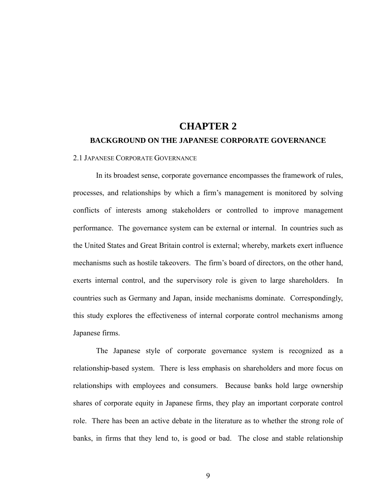# **CHAPTER 2 BACKGROUND ON THE JAPANESE CORPORATE GOVERNANCE**

#### 2.1 JAPANESE CORPORATE GOVERNANCE

In its broadest sense, corporate governance encompasses the framework of rules, processes, and relationships by which a firm's management is monitored by solving conflicts of interests among stakeholders or controlled to improve management performance. The governance system can be external or internal. In countries such as the United States and Great Britain control is external; whereby, markets exert influence mechanisms such as hostile takeovers. The firm's board of directors, on the other hand, exerts internal control, and the supervisory role is given to large shareholders. In countries such as Germany and Japan, inside mechanisms dominate. Correspondingly, this study explores the effectiveness of internal corporate control mechanisms among Japanese firms.

The Japanese style of corporate governance system is recognized as a relationship-based system. There is less emphasis on shareholders and more focus on relationships with employees and consumers. Because banks hold large ownership shares of corporate equity in Japanese firms, they play an important corporate control role. There has been an active debate in the literature as to whether the strong role of banks, in firms that they lend to, is good or bad. The close and stable relationship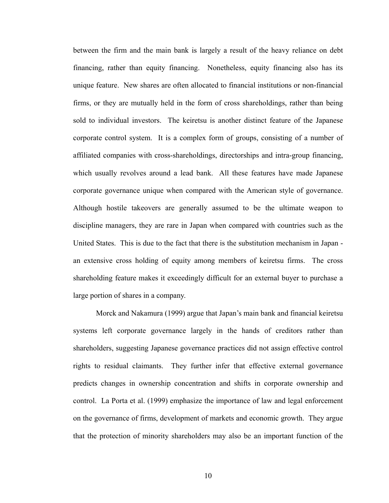between the firm and the main bank is largely a result of the heavy reliance on debt financing, rather than equity financing. Nonetheless, equity financing also has its unique feature. New shares are often allocated to financial institutions or non-financial firms, or they are mutually held in the form of cross shareholdings, rather than being sold to individual investors. The keiretsu is another distinct feature of the Japanese corporate control system. It is a complex form of groups, consisting of a number of affiliated companies with cross-shareholdings, directorships and intra-group financing, which usually revolves around a lead bank. All these features have made Japanese corporate governance unique when compared with the American style of governance. Although hostile takeovers are generally assumed to be the ultimate weapon to discipline managers, they are rare in Japan when compared with countries such as the United States. This is due to the fact that there is the substitution mechanism in Japan an extensive cross holding of equity among members of keiretsu firms. The cross shareholding feature makes it exceedingly difficult for an external buyer to purchase a large portion of shares in a company.

Morck and Nakamura (1999) argue that Japan's main bank and financial keiretsu systems left corporate governance largely in the hands of creditors rather than shareholders, suggesting Japanese governance practices did not assign effective control rights to residual claimants. They further infer that effective external governance predicts changes in ownership concentration and shifts in corporate ownership and control. La Porta et al. (1999) emphasize the importance of law and legal enforcement on the governance of firms, development of markets and economic growth. They argue that the protection of minority shareholders may also be an important function of the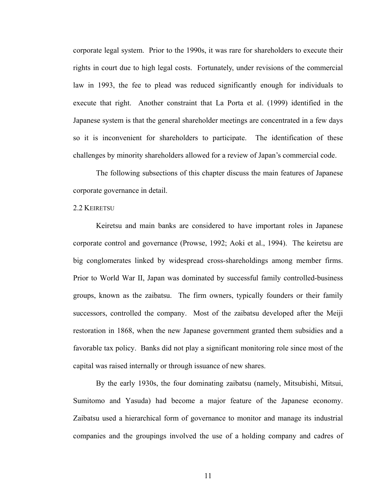corporate legal system. Prior to the 1990s, it was rare for shareholders to execute their rights in court due to high legal costs. Fortunately, under revisions of the commercial law in 1993, the fee to plead was reduced significantly enough for individuals to execute that right. Another constraint that La Porta et al. (1999) identified in the Japanese system is that the general shareholder meetings are concentrated in a few days so it is inconvenient for shareholders to participate. The identification of these challenges by minority shareholders allowed for a review of Japan's commercial code.

The following subsections of this chapter discuss the main features of Japanese corporate governance in detail.

#### 2.2 KEIRETSU

Keiretsu and main banks are considered to have important roles in Japanese corporate control and governance (Prowse, 1992; Aoki et al., 1994). The keiretsu are big conglomerates linked by widespread cross-shareholdings among member firms. Prior to World War II, Japan was dominated by successful family controlled-business groups, known as the zaibatsu. The firm owners, typically founders or their family successors, controlled the company. Most of the zaibatsu developed after the Meiji restoration in 1868, when the new Japanese government granted them subsidies and a favorable tax policy. Banks did not play a significant monitoring role since most of the capital was raised internally or through issuance of new shares.

By the early 1930s, the four dominating zaibatsu (namely, Mitsubishi, Mitsui, Sumitomo and Yasuda) had become a major feature of the Japanese economy. Zaibatsu used a hierarchical form of governance to monitor and manage its industrial companies and the groupings involved the use of a holding company and cadres of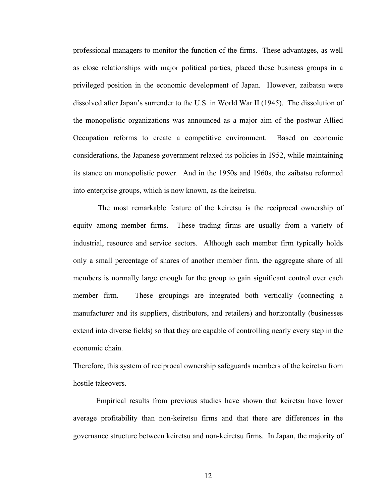professional managers to monitor the function of the firms. These advantages, as well as close relationships with major political parties, placed these business groups in a privileged position in the economic development of Japan. However, zaibatsu were dissolved after Japan's surrender to the U.S. in World War II (1945). The dissolution of the monopolistic organizations was announced as a major aim of the postwar Allied Occupation reforms to create a competitive environment. Based on economic considerations, the Japanese government relaxed its policies in 1952, while maintaining its stance on monopolistic power. And in the 1950s and 1960s, the zaibatsu reformed into enterprise groups, which is now known, as the keiretsu.

 The most remarkable feature of the keiretsu is the reciprocal ownership of equity among member firms. These trading firms are usually from a variety of industrial, resource and service sectors. Although each member firm typically holds only a small percentage of shares of another member firm, the aggregate share of all members is normally large enough for the group to gain significant control over each member firm. These groupings are integrated both vertically (connecting a manufacturer and its suppliers, distributors, and retailers) and horizontally (businesses extend into diverse fields) so that they are capable of controlling nearly every step in the economic chain.

Therefore, this system of reciprocal ownership safeguards members of the keiretsu from hostile takeovers.

Empirical results from previous studies have shown that keiretsu have lower average profitability than non-keiretsu firms and that there are differences in the governance structure between keiretsu and non-keiretsu firms. In Japan, the majority of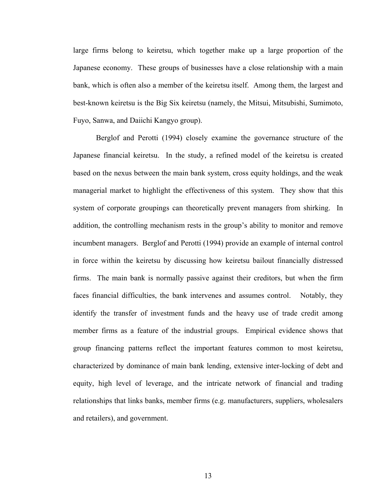large firms belong to keiretsu, which together make up a large proportion of the Japanese economy. These groups of businesses have a close relationship with a main bank, which is often also a member of the keiretsu itself. Among them, the largest and best-known keiretsu is the Big Six keiretsu (namely, the Mitsui, Mitsubishi, Sumimoto, Fuyo, Sanwa, and Daiichi Kangyo group).

Berglof and Perotti (1994) closely examine the governance structure of the Japanese financial keiretsu. In the study, a refined model of the keiretsu is created based on the nexus between the main bank system, cross equity holdings, and the weak managerial market to highlight the effectiveness of this system. They show that this system of corporate groupings can theoretically prevent managers from shirking. In addition, the controlling mechanism rests in the group's ability to monitor and remove incumbent managers. Berglof and Perotti (1994) provide an example of internal control in force within the keiretsu by discussing how keiretsu bailout financially distressed firms. The main bank is normally passive against their creditors, but when the firm faces financial difficulties, the bank intervenes and assumes control. Notably, they identify the transfer of investment funds and the heavy use of trade credit among member firms as a feature of the industrial groups. Empirical evidence shows that group financing patterns reflect the important features common to most keiretsu, characterized by dominance of main bank lending, extensive inter-locking of debt and equity, high level of leverage, and the intricate network of financial and trading relationships that links banks, member firms (e.g. manufacturers, suppliers, wholesalers and retailers), and government.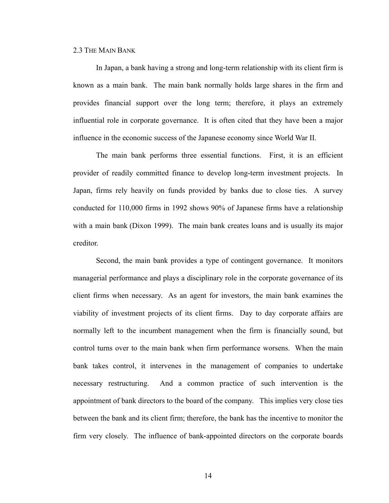#### 2.3 THE MAIN BANK

In Japan, a bank having a strong and long-term relationship with its client firm is known as a main bank. The main bank normally holds large shares in the firm and provides financial support over the long term; therefore, it plays an extremely influential role in corporate governance. It is often cited that they have been a major influence in the economic success of the Japanese economy since World War II.

The main bank performs three essential functions. First, it is an efficient provider of readily committed finance to develop long-term investment projects. In Japan, firms rely heavily on funds provided by banks due to close ties. A survey conducted for 110,000 firms in 1992 shows 90% of Japanese firms have a relationship with a main bank (Dixon 1999). The main bank creates loans and is usually its major creditor.

Second, the main bank provides a type of contingent governance. It monitors managerial performance and plays a disciplinary role in the corporate governance of its client firms when necessary. As an agent for investors, the main bank examines the viability of investment projects of its client firms. Day to day corporate affairs are normally left to the incumbent management when the firm is financially sound, but control turns over to the main bank when firm performance worsens. When the main bank takes control, it intervenes in the management of companies to undertake necessary restructuring. And a common practice of such intervention is the appointment of bank directors to the board of the company. This implies very close ties between the bank and its client firm; therefore, the bank has the incentive to monitor the firm very closely. The influence of bank-appointed directors on the corporate boards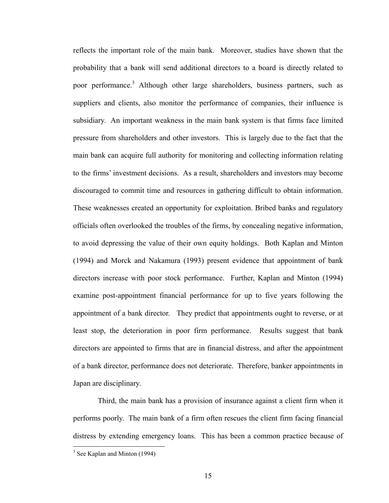reflects the important role of the main bank. Moreover, studies have shown that the probability that a bank will send additional directors to a board is directly related to poor performance.<sup>3</sup> Although other large shareholders, business partners, such as suppliers and clients, also monitor the performance of companies, their influence is subsidiary. An important weakness in the main bank system is that firms face limited pressure from shareholders and other investors. This is largely due to the fact that the main bank can acquire full authority for monitoring and collecting information relating to the firms' investment decisions. As a result, shareholders and investors may become discouraged to commit time and resources in gathering difficult to obtain information. These weaknesses created an opportunity for exploitation. Bribed banks and regulatory officials often overlooked the troubles of the firms, by concealing negative information, to avoid depressing the value of their own equity holdings. Both Kaplan and Minton (1994) and Morck and Nakamura (1993) present evidence that appointment of bank directors increase with poor stock performance. Further, Kaplan and Minton (1994) examine post-appointment financial performance for up to five years following the appointment of a bank director. They predict that appointments ought to reverse, or at least stop, the deterioration in poor firm performance. Results suggest that bank directors are appointed to firms that are in financial distress, and after the appointment of a bank director, performance does not deteriorate. Therefore, banker appointments in Japan are disciplinary.

 Third, the main bank has a provision of insurance against a client firm when it performs poorly. The main bank of a firm often rescues the client firm facing financial distress by extending emergency loans. This has been a common practice because of

 $\overline{a}$ 

<sup>&</sup>lt;sup>3</sup> See Kaplan and Minton (1994)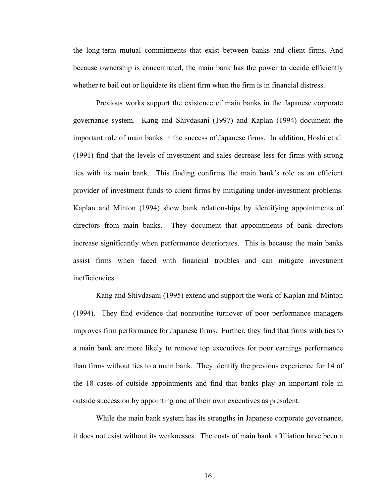the long-term mutual commitments that exist between banks and client firms. And because ownership is concentrated, the main bank has the power to decide efficiently whether to bail out or liquidate its client firm when the firm is in financial distress.

Previous works support the existence of main banks in the Japanese corporate governance system. Kang and Shivdasani (1997) and Kaplan (1994) document the important role of main banks in the success of Japanese firms. In addition, Hoshi et al. (1991) find that the levels of investment and sales decrease less for firms with strong ties with its main bank. This finding confirms the main bank's role as an efficient provider of investment funds to client firms by mitigating under-investment problems. Kaplan and Minton (1994) show bank relationships by identifying appointments of directors from main banks. They document that appointments of bank directors increase significantly when performance deteriorates. This is because the main banks assist firms when faced with financial troubles and can mitigate investment inefficiencies.

Kang and Shivdasani (1995) extend and support the work of Kaplan and Minton (1994). They find evidence that nonroutine turnover of poor performance managers improves firm performance for Japanese firms. Further, they find that firms with ties to a main bank are more likely to remove top executives for poor earnings performance than firms without ties to a main bank. They identify the previous experience for 14 of the 18 cases of outside appointments and find that banks play an important role in outside succession by appointing one of their own executives as president.

While the main bank system has its strengths in Japanese corporate governance, it does not exist without its weaknesses. The costs of main bank affiliation have been a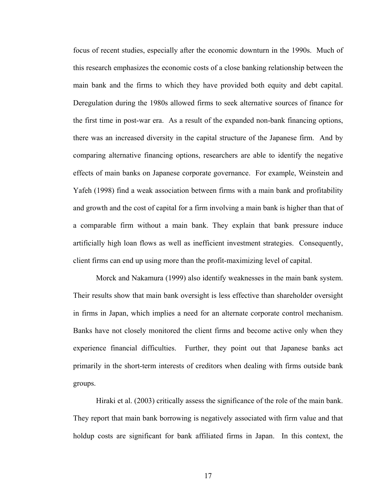focus of recent studies, especially after the economic downturn in the 1990s. Much of this research emphasizes the economic costs of a close banking relationship between the main bank and the firms to which they have provided both equity and debt capital. Deregulation during the 1980s allowed firms to seek alternative sources of finance for the first time in post-war era. As a result of the expanded non-bank financing options, there was an increased diversity in the capital structure of the Japanese firm. And by comparing alternative financing options, researchers are able to identify the negative effects of main banks on Japanese corporate governance. For example, Weinstein and Yafeh (1998) find a weak association between firms with a main bank and profitability and growth and the cost of capital for a firm involving a main bank is higher than that of a comparable firm without a main bank. They explain that bank pressure induce artificially high loan flows as well as inefficient investment strategies. Consequently, client firms can end up using more than the profit-maximizing level of capital.

Morck and Nakamura (1999) also identify weaknesses in the main bank system. Their results show that main bank oversight is less effective than shareholder oversight in firms in Japan, which implies a need for an alternate corporate control mechanism. Banks have not closely monitored the client firms and become active only when they experience financial difficulties. Further, they point out that Japanese banks act primarily in the short-term interests of creditors when dealing with firms outside bank groups.

Hiraki et al. (2003) critically assess the significance of the role of the main bank. They report that main bank borrowing is negatively associated with firm value and that holdup costs are significant for bank affiliated firms in Japan. In this context, the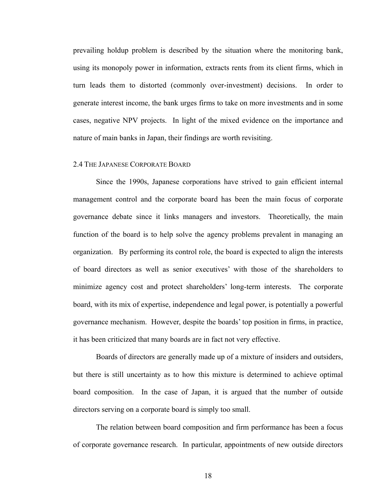prevailing holdup problem is described by the situation where the monitoring bank, using its monopoly power in information, extracts rents from its client firms, which in turn leads them to distorted (commonly over-investment) decisions. In order to generate interest income, the bank urges firms to take on more investments and in some cases, negative NPV projects. In light of the mixed evidence on the importance and nature of main banks in Japan, their findings are worth revisiting.

#### 2.4 THE JAPANESE CORPORATE BOARD

Since the 1990s, Japanese corporations have strived to gain efficient internal management control and the corporate board has been the main focus of corporate governance debate since it links managers and investors. Theoretically, the main function of the board is to help solve the agency problems prevalent in managing an organization. By performing its control role, the board is expected to align the interests of board directors as well as senior executives' with those of the shareholders to minimize agency cost and protect shareholders' long-term interests. The corporate board, with its mix of expertise, independence and legal power, is potentially a powerful governance mechanism. However, despite the boards' top position in firms, in practice, it has been criticized that many boards are in fact not very effective.

Boards of directors are generally made up of a mixture of insiders and outsiders, but there is still uncertainty as to how this mixture is determined to achieve optimal board composition. In the case of Japan, it is argued that the number of outside directors serving on a corporate board is simply too small.

The relation between board composition and firm performance has been a focus of corporate governance research. In particular, appointments of new outside directors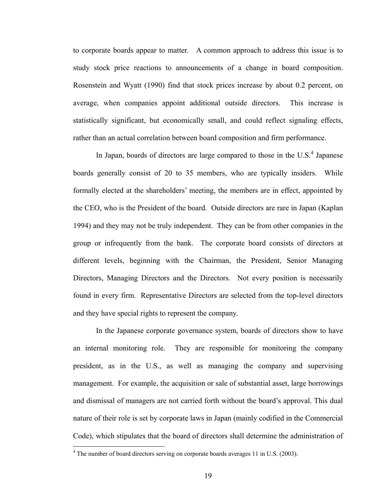to corporate boards appear to matter. A common approach to address this issue is to study stock price reactions to announcements of a change in board composition. Rosenstein and Wyatt (1990) find that stock prices increase by about 0.2 percent, on average, when companies appoint additional outside directors. This increase is statistically significant, but economically small, and could reflect signaling effects, rather than an actual correlation between board composition and firm performance.

In Japan, boards of directors are large compared to those in the  $\mathrm{U.S.}^4$  Japanese boards generally consist of 20 to 35 members, who are typically insiders. While formally elected at the shareholders' meeting, the members are in effect, appointed by the CEO, who is the President of the board. Outside directors are rare in Japan (Kaplan 1994) and they may not be truly independent. They can be from other companies in the group or infrequently from the bank. The corporate board consists of directors at different levels, beginning with the Chairman, the President, Senior Managing Directors, Managing Directors and the Directors. Not every position is necessarily found in every firm. Representative Directors are selected from the top-level directors and they have special rights to represent the company.

In the Japanese corporate governance system, boards of directors show to have an internal monitoring role. They are responsible for monitoring the company president, as in the U.S., as well as managing the company and supervising management. For example, the acquisition or sale of substantial asset, large borrowings and dismissal of managers are not carried forth without the board's approval. This dual nature of their role is set by corporate laws in Japan (mainly codified in the Commercial Code), which stipulates that the board of directors shall determine the administration of

 $\overline{a}$ 

 $4$  The number of board directors serving on corporate boards averages 11 in U.S. (2003).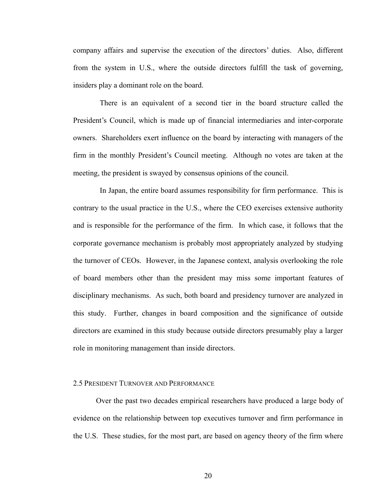company affairs and supervise the execution of the directors' duties. Also, different from the system in U.S., where the outside directors fulfill the task of governing, insiders play a dominant role on the board.

 There is an equivalent of a second tier in the board structure called the President's Council, which is made up of financial intermediaries and inter-corporate owners. Shareholders exert influence on the board by interacting with managers of the firm in the monthly President's Council meeting. Although no votes are taken at the meeting, the president is swayed by consensus opinions of the council.

 In Japan, the entire board assumes responsibility for firm performance. This is contrary to the usual practice in the U.S., where the CEO exercises extensive authority and is responsible for the performance of the firm. In which case, it follows that the corporate governance mechanism is probably most appropriately analyzed by studying the turnover of CEOs. However, in the Japanese context, analysis overlooking the role of board members other than the president may miss some important features of disciplinary mechanisms. As such, both board and presidency turnover are analyzed in this study. Further, changes in board composition and the significance of outside directors are examined in this study because outside directors presumably play a larger role in monitoring management than inside directors.

#### 2.5 PRESIDENT TURNOVER AND PERFORMANCE

 Over the past two decades empirical researchers have produced a large body of evidence on the relationship between top executives turnover and firm performance in the U.S. These studies, for the most part, are based on agency theory of the firm where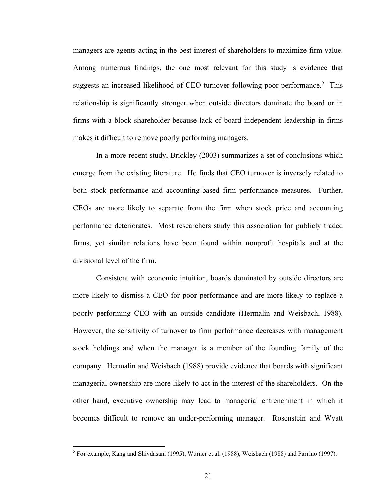managers are agents acting in the best interest of shareholders to maximize firm value. Among numerous findings, the one most relevant for this study is evidence that suggests an increased likelihood of CEO turnover following poor performance.<sup>5</sup> This relationship is significantly stronger when outside directors dominate the board or in firms with a block shareholder because lack of board independent leadership in firms makes it difficult to remove poorly performing managers.

 In a more recent study, Brickley (2003) summarizes a set of conclusions which emerge from the existing literature. He finds that CEO turnover is inversely related to both stock performance and accounting-based firm performance measures. Further, CEOs are more likely to separate from the firm when stock price and accounting performance deteriorates. Most researchers study this association for publicly traded firms, yet similar relations have been found within nonprofit hospitals and at the divisional level of the firm.

 Consistent with economic intuition, boards dominated by outside directors are more likely to dismiss a CEO for poor performance and are more likely to replace a poorly performing CEO with an outside candidate (Hermalin and Weisbach, 1988). However, the sensitivity of turnover to firm performance decreases with management stock holdings and when the manager is a member of the founding family of the company. Hermalin and Weisbach (1988) provide evidence that boards with significant managerial ownership are more likely to act in the interest of the shareholders. On the other hand, executive ownership may lead to managerial entrenchment in which it becomes difficult to remove an under-performing manager. Rosenstein and Wyatt

 $\overline{a}$ 

<sup>&</sup>lt;sup>5</sup> For example, Kang and Shivdasani (1995), Warner et al. (1988), Weisbach (1988) and Parrino (1997).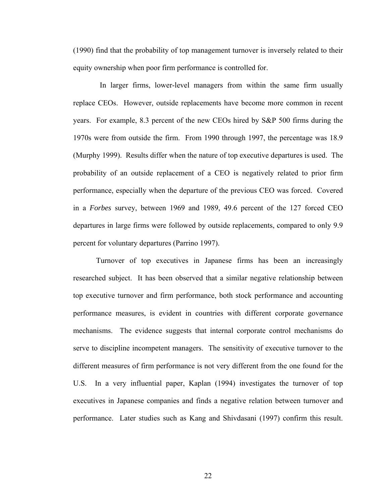(1990) find that the probability of top management turnover is inversely related to their equity ownership when poor firm performance is controlled for.

 In larger firms, lower-level managers from within the same firm usually replace CEOs. However, outside replacements have become more common in recent years. For example, 8.3 percent of the new CEOs hired by S&P 500 firms during the 1970s were from outside the firm. From 1990 through 1997, the percentage was 18.9 (Murphy 1999). Results differ when the nature of top executive departures is used. The probability of an outside replacement of a CEO is negatively related to prior firm performance, especially when the departure of the previous CEO was forced. Covered in a *Forbes* survey, between 1969 and 1989, 49.6 percent of the 127 forced CEO departures in large firms were followed by outside replacements, compared to only 9.9 percent for voluntary departures (Parrino 1997).

 Turnover of top executives in Japanese firms has been an increasingly researched subject. It has been observed that a similar negative relationship between top executive turnover and firm performance, both stock performance and accounting performance measures, is evident in countries with different corporate governance mechanisms. The evidence suggests that internal corporate control mechanisms do serve to discipline incompetent managers. The sensitivity of executive turnover to the different measures of firm performance is not very different from the one found for the U.S. In a very influential paper, Kaplan (1994) investigates the turnover of top executives in Japanese companies and finds a negative relation between turnover and performance. Later studies such as Kang and Shivdasani (1997) confirm this result.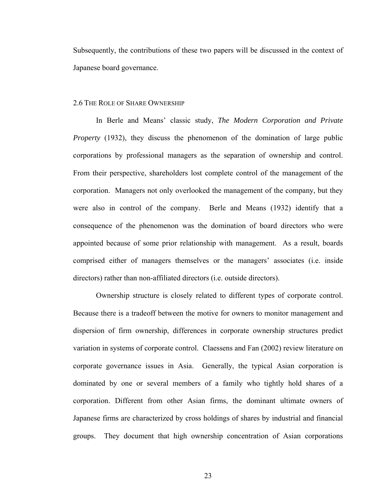Subsequently, the contributions of these two papers will be discussed in the context of Japanese board governance.

#### 2.6 THE ROLE OF SHARE OWNERSHIP

 In Berle and Means' classic study, *The Modern Corporation and Private Property* (1932), they discuss the phenomenon of the domination of large public corporations by professional managers as the separation of ownership and control. From their perspective, shareholders lost complete control of the management of the corporation. Managers not only overlooked the management of the company, but they were also in control of the company. Berle and Means (1932) identify that a consequence of the phenomenon was the domination of board directors who were appointed because of some prior relationship with management. As a result, boards comprised either of managers themselves or the managers' associates (i.e. inside directors) rather than non-affiliated directors (i.e. outside directors).

 Ownership structure is closely related to different types of corporate control. Because there is a tradeoff between the motive for owners to monitor management and dispersion of firm ownership, differences in corporate ownership structures predict variation in systems of corporate control. Claessens and Fan (2002) review literature on corporate governance issues in Asia. Generally, the typical Asian corporation is dominated by one or several members of a family who tightly hold shares of a corporation. Different from other Asian firms, the dominant ultimate owners of Japanese firms are characterized by cross holdings of shares by industrial and financial groups. They document that high ownership concentration of Asian corporations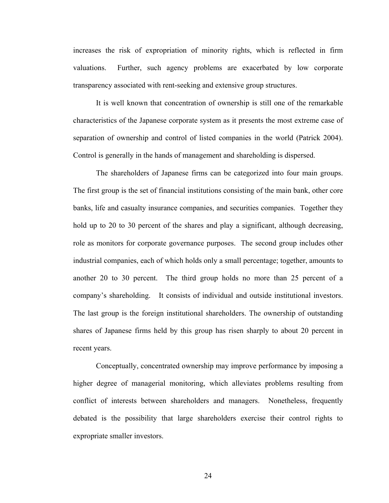increases the risk of expropriation of minority rights, which is reflected in firm valuations. Further, such agency problems are exacerbated by low corporate transparency associated with rent-seeking and extensive group structures.

 It is well known that concentration of ownership is still one of the remarkable characteristics of the Japanese corporate system as it presents the most extreme case of separation of ownership and control of listed companies in the world (Patrick 2004). Control is generally in the hands of management and shareholding is dispersed.

 The shareholders of Japanese firms can be categorized into four main groups. The first group is the set of financial institutions consisting of the main bank, other core banks, life and casualty insurance companies, and securities companies. Together they hold up to 20 to 30 percent of the shares and play a significant, although decreasing, role as monitors for corporate governance purposes. The second group includes other industrial companies, each of which holds only a small percentage; together, amounts to another 20 to 30 percent. The third group holds no more than 25 percent of a company's shareholding. It consists of individual and outside institutional investors. The last group is the foreign institutional shareholders. The ownership of outstanding shares of Japanese firms held by this group has risen sharply to about 20 percent in recent years.

 Conceptually, concentrated ownership may improve performance by imposing a higher degree of managerial monitoring, which alleviates problems resulting from conflict of interests between shareholders and managers. Nonetheless, frequently debated is the possibility that large shareholders exercise their control rights to expropriate smaller investors.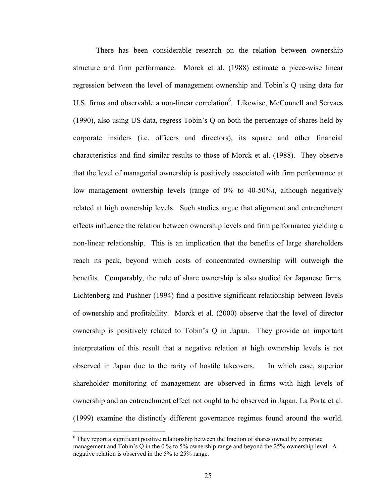There has been considerable research on the relation between ownership structure and firm performance. Morck et al. (1988) estimate a piece-wise linear regression between the level of management ownership and Tobin's Q using data for U.S. firms and observable a non-linear correlation<sup>6</sup>. Likewise, McConnell and Servaes (1990), also using US data, regress Tobin's Q on both the percentage of shares held by corporate insiders (i.e. officers and directors), its square and other financial characteristics and find similar results to those of Morck et al. (1988). They observe that the level of managerial ownership is positively associated with firm performance at low management ownership levels (range of 0% to 40-50%), although negatively related at high ownership levels. Such studies argue that alignment and entrenchment effects influence the relation between ownership levels and firm performance yielding a non-linear relationship. This is an implication that the benefits of large shareholders reach its peak, beyond which costs of concentrated ownership will outweigh the benefits. Comparably, the role of share ownership is also studied for Japanese firms. Lichtenberg and Pushner (1994) find a positive significant relationship between levels of ownership and profitability. Morck et al. (2000) observe that the level of director ownership is positively related to Tobin's Q in Japan. They provide an important interpretation of this result that a negative relation at high ownership levels is not observed in Japan due to the rarity of hostile takeovers. In which case, superior shareholder monitoring of management are observed in firms with high levels of ownership and an entrenchment effect not ought to be observed in Japan. La Porta et al. (1999) examine the distinctly different governance regimes found around the world.

 $\overline{a}$ 

<sup>&</sup>lt;sup>6</sup> They report a significant positive relationship between the fraction of shares owned by corporate management and Tobin's Q in the 0 % to 5% ownership range and beyond the 25% ownership level. A negative relation is observed in the 5% to 25% range.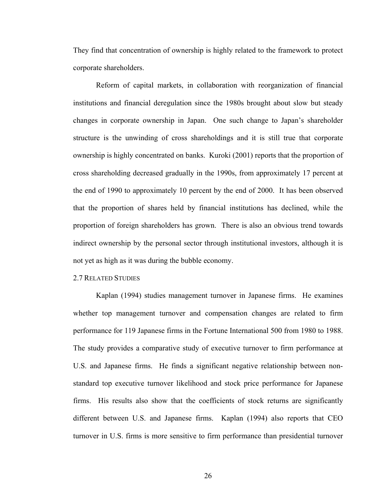They find that concentration of ownership is highly related to the framework to protect corporate shareholders.

Reform of capital markets, in collaboration with reorganization of financial institutions and financial deregulation since the 1980s brought about slow but steady changes in corporate ownership in Japan. One such change to Japan's shareholder structure is the unwinding of cross shareholdings and it is still true that corporate ownership is highly concentrated on banks. Kuroki (2001) reports that the proportion of cross shareholding decreased gradually in the 1990s, from approximately 17 percent at the end of 1990 to approximately 10 percent by the end of 2000. It has been observed that the proportion of shares held by financial institutions has declined, while the proportion of foreign shareholders has grown. There is also an obvious trend towards indirect ownership by the personal sector through institutional investors, although it is not yet as high as it was during the bubble economy.

#### 2.7 RELATED STUDIES

Kaplan (1994) studies management turnover in Japanese firms. He examines whether top management turnover and compensation changes are related to firm performance for 119 Japanese firms in the Fortune International 500 from 1980 to 1988. The study provides a comparative study of executive turnover to firm performance at U.S. and Japanese firms. He finds a significant negative relationship between nonstandard top executive turnover likelihood and stock price performance for Japanese firms. His results also show that the coefficients of stock returns are significantly different between U.S. and Japanese firms. Kaplan (1994) also reports that CEO turnover in U.S. firms is more sensitive to firm performance than presidential turnover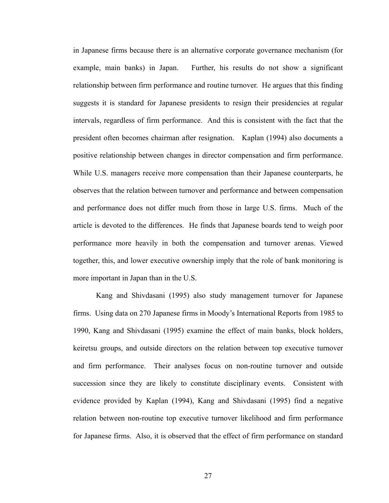in Japanese firms because there is an alternative corporate governance mechanism (for example, main banks) in Japan. Further, his results do not show a significant relationship between firm performance and routine turnover. He argues that this finding suggests it is standard for Japanese presidents to resign their presidencies at regular intervals, regardless of firm performance. And this is consistent with the fact that the president often becomes chairman after resignation. Kaplan (1994) also documents a positive relationship between changes in director compensation and firm performance. While U.S. managers receive more compensation than their Japanese counterparts, he observes that the relation between turnover and performance and between compensation and performance does not differ much from those in large U.S. firms. Much of the article is devoted to the differences. He finds that Japanese boards tend to weigh poor performance more heavily in both the compensation and turnover arenas. Viewed together, this, and lower executive ownership imply that the role of bank monitoring is more important in Japan than in the U.S.

Kang and Shivdasani (1995) also study management turnover for Japanese firms. Using data on 270 Japanese firms in Moody's International Reports from 1985 to 1990, Kang and Shivdasani (1995) examine the effect of main banks, block holders, keiretsu groups, and outside directors on the relation between top executive turnover and firm performance. Their analyses focus on non-routine turnover and outside succession since they are likely to constitute disciplinary events. Consistent with evidence provided by Kaplan (1994), Kang and Shivdasani (1995) find a negative relation between non-routine top executive turnover likelihood and firm performance for Japanese firms. Also, it is observed that the effect of firm performance on standard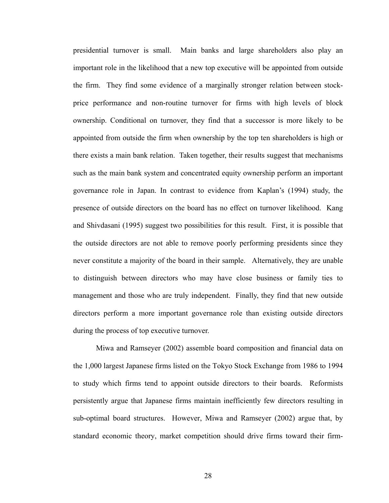presidential turnover is small. Main banks and large shareholders also play an important role in the likelihood that a new top executive will be appointed from outside the firm. They find some evidence of a marginally stronger relation between stockprice performance and non-routine turnover for firms with high levels of block ownership. Conditional on turnover, they find that a successor is more likely to be appointed from outside the firm when ownership by the top ten shareholders is high or there exists a main bank relation. Taken together, their results suggest that mechanisms such as the main bank system and concentrated equity ownership perform an important governance role in Japan. In contrast to evidence from Kaplan's (1994) study, the presence of outside directors on the board has no effect on turnover likelihood. Kang and Shivdasani (1995) suggest two possibilities for this result. First, it is possible that the outside directors are not able to remove poorly performing presidents since they never constitute a majority of the board in their sample. Alternatively, they are unable to distinguish between directors who may have close business or family ties to management and those who are truly independent. Finally, they find that new outside directors perform a more important governance role than existing outside directors during the process of top executive turnover.

Miwa and Ramseyer (2002) assemble board composition and financial data on the 1,000 largest Japanese firms listed on the Tokyo Stock Exchange from 1986 to 1994 to study which firms tend to appoint outside directors to their boards. Reformists persistently argue that Japanese firms maintain inefficiently few directors resulting in sub-optimal board structures. However, Miwa and Ramseyer (2002) argue that, by standard economic theory, market competition should drive firms toward their firm-

28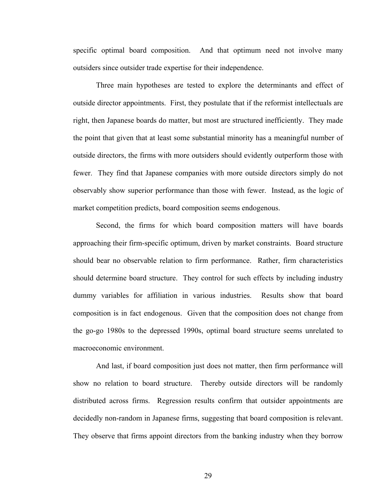specific optimal board composition. And that optimum need not involve many outsiders since outsider trade expertise for their independence.

Three main hypotheses are tested to explore the determinants and effect of outside director appointments. First, they postulate that if the reformist intellectuals are right, then Japanese boards do matter, but most are structured inefficiently. They made the point that given that at least some substantial minority has a meaningful number of outside directors, the firms with more outsiders should evidently outperform those with fewer. They find that Japanese companies with more outside directors simply do not observably show superior performance than those with fewer. Instead, as the logic of market competition predicts, board composition seems endogenous.

Second, the firms for which board composition matters will have boards approaching their firm-specific optimum, driven by market constraints. Board structure should bear no observable relation to firm performance. Rather, firm characteristics should determine board structure. They control for such effects by including industry dummy variables for affiliation in various industries. Results show that board composition is in fact endogenous. Given that the composition does not change from the go-go 1980s to the depressed 1990s, optimal board structure seems unrelated to macroeconomic environment.

And last, if board composition just does not matter, then firm performance will show no relation to board structure. Thereby outside directors will be randomly distributed across firms. Regression results confirm that outsider appointments are decidedly non-random in Japanese firms, suggesting that board composition is relevant. They observe that firms appoint directors from the banking industry when they borrow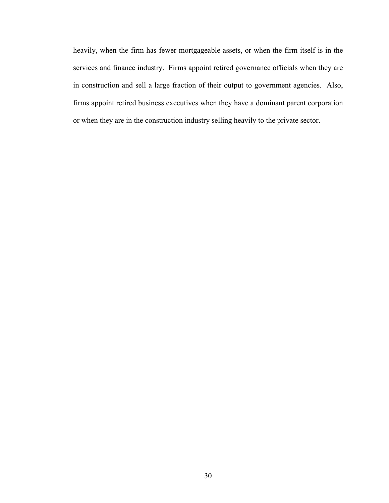heavily, when the firm has fewer mortgageable assets, or when the firm itself is in the services and finance industry. Firms appoint retired governance officials when they are in construction and sell a large fraction of their output to government agencies. Also, firms appoint retired business executives when they have a dominant parent corporation or when they are in the construction industry selling heavily to the private sector.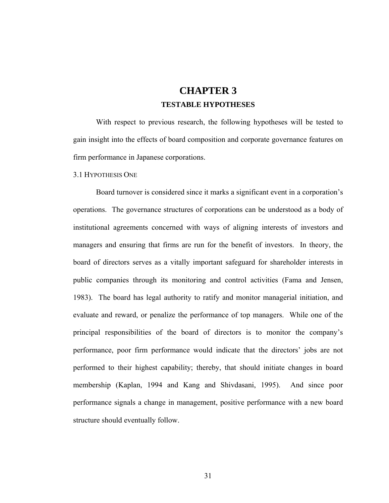## **CHAPTER 3 TESTABLE HYPOTHESES**

With respect to previous research, the following hypotheses will be tested to gain insight into the effects of board composition and corporate governance features on firm performance in Japanese corporations.

#### 3.1 HYPOTHESIS ONE

Board turnover is considered since it marks a significant event in a corporation's operations. The governance structures of corporations can be understood as a body of institutional agreements concerned with ways of aligning interests of investors and managers and ensuring that firms are run for the benefit of investors. In theory, the board of directors serves as a vitally important safeguard for shareholder interests in public companies through its monitoring and control activities (Fama and Jensen, 1983). The board has legal authority to ratify and monitor managerial initiation, and evaluate and reward, or penalize the performance of top managers. While one of the principal responsibilities of the board of directors is to monitor the company's performance, poor firm performance would indicate that the directors' jobs are not performed to their highest capability; thereby, that should initiate changes in board membership (Kaplan, 1994 and Kang and Shivdasani, 1995). And since poor performance signals a change in management, positive performance with a new board structure should eventually follow.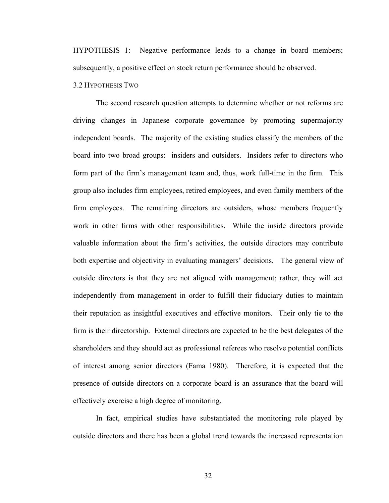HYPOTHESIS 1: Negative performance leads to a change in board members; subsequently, a positive effect on stock return performance should be observed.

#### 3.2 HYPOTHESIS TWO

The second research question attempts to determine whether or not reforms are driving changes in Japanese corporate governance by promoting supermajority independent boards. The majority of the existing studies classify the members of the board into two broad groups: insiders and outsiders. Insiders refer to directors who form part of the firm's management team and, thus, work full-time in the firm. This group also includes firm employees, retired employees, and even family members of the firm employees. The remaining directors are outsiders, whose members frequently work in other firms with other responsibilities. While the inside directors provide valuable information about the firm's activities, the outside directors may contribute both expertise and objectivity in evaluating managers' decisions. The general view of outside directors is that they are not aligned with management; rather, they will act independently from management in order to fulfill their fiduciary duties to maintain their reputation as insightful executives and effective monitors. Their only tie to the firm is their directorship. External directors are expected to be the best delegates of the shareholders and they should act as professional referees who resolve potential conflicts of interest among senior directors (Fama 1980). Therefore, it is expected that the presence of outside directors on a corporate board is an assurance that the board will effectively exercise a high degree of monitoring.

 In fact, empirical studies have substantiated the monitoring role played by outside directors and there has been a global trend towards the increased representation

32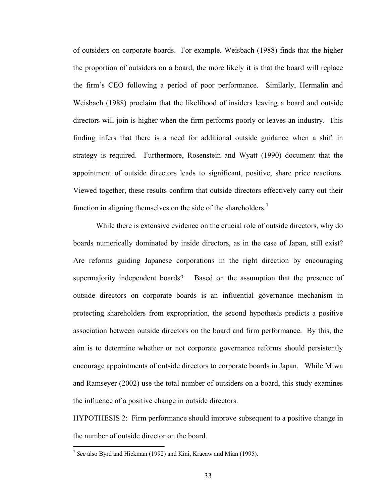of outsiders on corporate boards. For example, Weisbach (1988) finds that the higher the proportion of outsiders on a board, the more likely it is that the board will replace the firm's CEO following a period of poor performance. Similarly, Hermalin and Weisbach (1988) proclaim that the likelihood of insiders leaving a board and outside directors will join is higher when the firm performs poorly or leaves an industry. This finding infers that there is a need for additional outside guidance when a shift in strategy is required. Furthermore, Rosenstein and Wyatt (1990) document that the appointment of outside directors leads to significant, positive, share price reactions. Viewed together, these results confirm that outside directors effectively carry out their function in aligning themselves on the side of the shareholders.<sup>7</sup>

While there is extensive evidence on the crucial role of outside directors, why do boards numerically dominated by inside directors, as in the case of Japan, still exist? Are reforms guiding Japanese corporations in the right direction by encouraging supermajority independent boards? Based on the assumption that the presence of outside directors on corporate boards is an influential governance mechanism in protecting shareholders from expropriation, the second hypothesis predicts a positive association between outside directors on the board and firm performance. By this, the aim is to determine whether or not corporate governance reforms should persistently encourage appointments of outside directors to corporate boards in Japan. While Miwa and Ramseyer (2002) use the total number of outsiders on a board, this study examines the influence of a positive change in outside directors.

HYPOTHESIS 2: Firm performance should improve subsequent to a positive change in the number of outside director on the board.

 $\overline{a}$ 

<sup>7</sup> *See* also Byrd and Hickman (1992) and Kini, Kracaw and Mian (1995).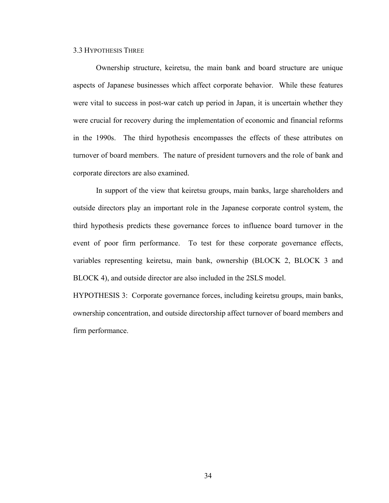#### 3.3 HYPOTHESIS THREE

Ownership structure, keiretsu, the main bank and board structure are unique aspects of Japanese businesses which affect corporate behavior. While these features were vital to success in post-war catch up period in Japan, it is uncertain whether they were crucial for recovery during the implementation of economic and financial reforms in the 1990s. The third hypothesis encompasses the effects of these attributes on turnover of board members. The nature of president turnovers and the role of bank and corporate directors are also examined.

In support of the view that keiretsu groups, main banks, large shareholders and outside directors play an important role in the Japanese corporate control system, the third hypothesis predicts these governance forces to influence board turnover in the event of poor firm performance. To test for these corporate governance effects, variables representing keiretsu, main bank, ownership (BLOCK 2, BLOCK 3 and BLOCK 4), and outside director are also included in the 2SLS model.

HYPOTHESIS 3: Corporate governance forces, including keiretsu groups, main banks, ownership concentration, and outside directorship affect turnover of board members and firm performance.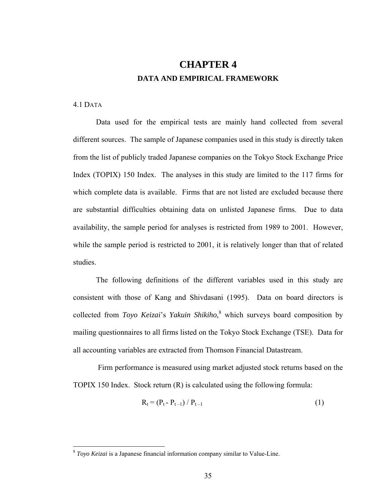# **CHAPTER 4 DATA AND EMPIRICAL FRAMEWORK**

4.1 DATA

 $\overline{a}$ 

Data used for the empirical tests are mainly hand collected from several different sources. The sample of Japanese companies used in this study is directly taken from the list of publicly traded Japanese companies on the Tokyo Stock Exchange Price Index (TOPIX) 150 Index. The analyses in this study are limited to the 117 firms for which complete data is available. Firms that are not listed are excluded because there are substantial difficulties obtaining data on unlisted Japanese firms. Due to data availability, the sample period for analyses is restricted from 1989 to 2001. However, while the sample period is restricted to 2001, it is relatively longer than that of related studies.

The following definitions of the different variables used in this study are consistent with those of Kang and Shivdasani (1995). Data on board directors is collected from *Toyo Keizai*'s *Yakuin Shikiho,*<sup>8</sup> which surveys board composition by mailing questionnaires to all firms listed on the Tokyo Stock Exchange (TSE). Data for all accounting variables are extracted from Thomson Financial Datastream.

 Firm performance is measured using market adjusted stock returns based on the TOPIX 150 Index. Stock return (R) is calculated using the following formula:

$$
R_t = (P_t - P_{t-1}) / P_{t-1}
$$
 (1)

<sup>8</sup> *Toyo Keizai* is a Japanese financial information company similar to Value-Line.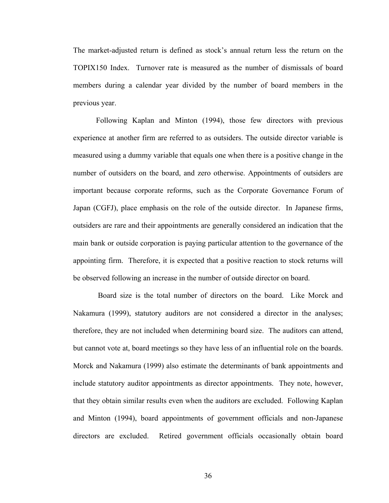The market-adjusted return is defined as stock's annual return less the return on the TOPIX150 Index. Turnover rate is measured as the number of dismissals of board members during a calendar year divided by the number of board members in the previous year.

Following Kaplan and Minton (1994), those few directors with previous experience at another firm are referred to as outsiders. The outside director variable is measured using a dummy variable that equals one when there is a positive change in the number of outsiders on the board, and zero otherwise. Appointments of outsiders are important because corporate reforms, such as the Corporate Governance Forum of Japan (CGFJ), place emphasis on the role of the outside director. In Japanese firms, outsiders are rare and their appointments are generally considered an indication that the main bank or outside corporation is paying particular attention to the governance of the appointing firm. Therefore, it is expected that a positive reaction to stock returns will be observed following an increase in the number of outside director on board.

 Board size is the total number of directors on the board. Like Morck and Nakamura (1999), statutory auditors are not considered a director in the analyses; therefore, they are not included when determining board size. The auditors can attend, but cannot vote at, board meetings so they have less of an influential role on the boards. Morck and Nakamura (1999) also estimate the determinants of bank appointments and include statutory auditor appointments as director appointments. They note, however, that they obtain similar results even when the auditors are excluded. Following Kaplan and Minton (1994), board appointments of government officials and non-Japanese directors are excluded. Retired government officials occasionally obtain board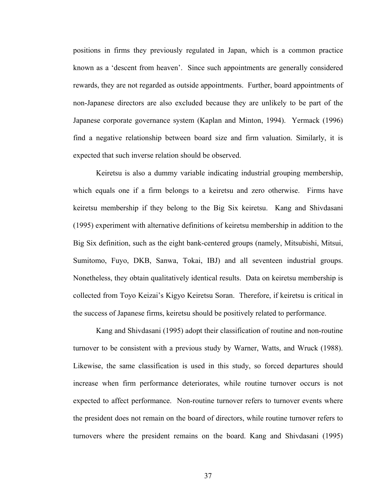positions in firms they previously regulated in Japan, which is a common practice known as a 'descent from heaven'. Since such appointments are generally considered rewards, they are not regarded as outside appointments. Further, board appointments of non-Japanese directors are also excluded because they are unlikely to be part of the Japanese corporate governance system (Kaplan and Minton, 1994). Yermack (1996) find a negative relationship between board size and firm valuation. Similarly, it is expected that such inverse relation should be observed.

Keiretsu is also a dummy variable indicating industrial grouping membership, which equals one if a firm belongs to a keiretsu and zero otherwise. Firms have keiretsu membership if they belong to the Big Six keiretsu. Kang and Shivdasani (1995) experiment with alternative definitions of keiretsu membership in addition to the Big Six definition, such as the eight bank-centered groups (namely, Mitsubishi, Mitsui, Sumitomo, Fuyo, DKB, Sanwa, Tokai, IBJ) and all seventeen industrial groups. Nonetheless, they obtain qualitatively identical results. Data on keiretsu membership is collected from Toyo Keizai's Kigyo Keiretsu Soran. Therefore, if keiretsu is critical in the success of Japanese firms, keiretsu should be positively related to performance.

Kang and Shivdasani (1995) adopt their classification of routine and non-routine turnover to be consistent with a previous study by Warner, Watts, and Wruck (1988). Likewise, the same classification is used in this study, so forced departures should increase when firm performance deteriorates, while routine turnover occurs is not expected to affect performance. Non-routine turnover refers to turnover events where the president does not remain on the board of directors, while routine turnover refers to turnovers where the president remains on the board. Kang and Shivdasani (1995)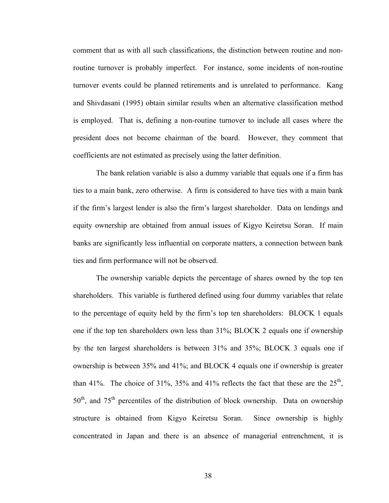comment that as with all such classifications, the distinction between routine and nonroutine turnover is probably imperfect. For instance, some incidents of non-routine turnover events could be planned retirements and is unrelated to performance. Kang and Shivdasani (1995) obtain similar results when an alternative classification method is employed. That is, defining a non-routine turnover to include all cases where the president does not become chairman of the board. However, they comment that coefficients are not estimated as precisely using the latter definition.

The bank relation variable is also a dummy variable that equals one if a firm has ties to a main bank, zero otherwise. A firm is considered to have ties with a main bank if the firm's largest lender is also the firm's largest shareholder. Data on lendings and equity ownership are obtained from annual issues of Kigyo Keiretsu Soran. If main banks are significantly less influential on corporate matters, a connection between bank ties and firm performance will not be observed.

The ownership variable depicts the percentage of shares owned by the top ten shareholders. This variable is furthered defined using four dummy variables that relate to the percentage of equity held by the firm's top ten shareholders: BLOCK 1 equals one if the top ten shareholders own less than 31%; BLOCK 2 equals one if ownership by the ten largest shareholders is between 31% and 35%; BLOCK 3 equals one if ownership is between 35% and 41%; and BLOCK 4 equals one if ownership is greater than 41%. The choice of 31%, 35% and 41% reflects the fact that these are the  $25<sup>th</sup>$ , 50<sup>th</sup>, and 75<sup>th</sup> percentiles of the distribution of block ownership. Data on ownership structure is obtained from Kigyo Keiretsu Soran. Since ownership is highly concentrated in Japan and there is an absence of managerial entrenchment, it is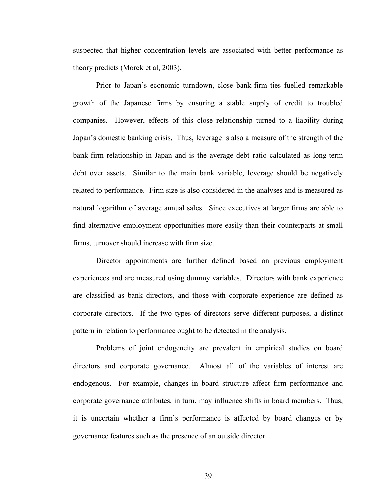suspected that higher concentration levels are associated with better performance as theory predicts (Morck et al, 2003).

Prior to Japan's economic turndown, close bank-firm ties fuelled remarkable growth of the Japanese firms by ensuring a stable supply of credit to troubled companies. However, effects of this close relationship turned to a liability during Japan's domestic banking crisis. Thus, leverage is also a measure of the strength of the bank-firm relationship in Japan and is the average debt ratio calculated as long-term debt over assets. Similar to the main bank variable, leverage should be negatively related to performance. Firm size is also considered in the analyses and is measured as natural logarithm of average annual sales. Since executives at larger firms are able to find alternative employment opportunities more easily than their counterparts at small firms, turnover should increase with firm size.

Director appointments are further defined based on previous employment experiences and are measured using dummy variables. Directors with bank experience are classified as bank directors, and those with corporate experience are defined as corporate directors. If the two types of directors serve different purposes, a distinct pattern in relation to performance ought to be detected in the analysis.

Problems of joint endogeneity are prevalent in empirical studies on board directors and corporate governance. Almost all of the variables of interest are endogenous. For example, changes in board structure affect firm performance and corporate governance attributes, in turn, may influence shifts in board members. Thus, it is uncertain whether a firm's performance is affected by board changes or by governance features such as the presence of an outside director.

39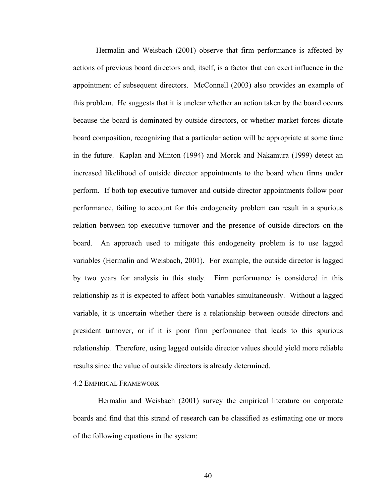Hermalin and Weisbach (2001) observe that firm performance is affected by actions of previous board directors and, itself, is a factor that can exert influence in the appointment of subsequent directors. McConnell (2003) also provides an example of this problem. He suggests that it is unclear whether an action taken by the board occurs because the board is dominated by outside directors, or whether market forces dictate board composition, recognizing that a particular action will be appropriate at some time in the future. Kaplan and Minton (1994) and Morck and Nakamura (1999) detect an increased likelihood of outside director appointments to the board when firms under perform. If both top executive turnover and outside director appointments follow poor performance, failing to account for this endogeneity problem can result in a spurious relation between top executive turnover and the presence of outside directors on the board. An approach used to mitigate this endogeneity problem is to use lagged variables (Hermalin and Weisbach, 2001). For example, the outside director is lagged by two years for analysis in this study. Firm performance is considered in this relationship as it is expected to affect both variables simultaneously. Without a lagged variable, it is uncertain whether there is a relationship between outside directors and president turnover, or if it is poor firm performance that leads to this spurious relationship. Therefore, using lagged outside director values should yield more reliable results since the value of outside directors is already determined.

#### 4.2 EMPIRICAL FRAMEWORK

Hermalin and Weisbach (2001) survey the empirical literature on corporate boards and find that this strand of research can be classified as estimating one or more of the following equations in the system:

40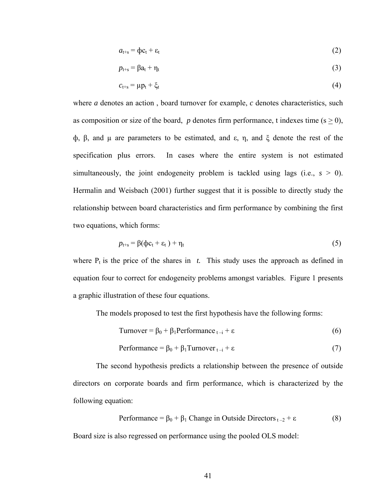$$
a_{t+s} = \Phi c_t + \varepsilon_t \tag{2}
$$

$$
p_{t+s} = \beta a_t + \eta_t \tag{3}
$$

$$
c_{t+s} = \mu p_t + \xi_t \tag{4}
$$

where *a* denotes an action , board turnover for example, *c* denotes characteristics, such as composition or size of the board, *p* denotes firm performance, t indexes time ( $s \ge 0$ ), ф, β, and µ are parameters to be estimated, and ε, η, and ξ denote the rest of the specification plus errors. In cases where the entire system is not estimated simultaneously, the joint endogeneity problem is tackled using lags (i.e.,  $s > 0$ ). Hermalin and Weisbach (2001) further suggest that it is possible to directly study the relationship between board characteristics and firm performance by combining the first two equations, which forms:

$$
p_{t+s} = \beta(\varphi c_t + \varepsilon_t) + \eta_t \tag{5}
$$

where  $P_t$  is the price of the shares in *t*. This study uses the approach as defined in equation four to correct for endogeneity problems amongst variables. Figure 1 presents a graphic illustration of these four equations.

The models proposed to test the first hypothesis have the following forms:

$$
Turnover = \beta_0 + \beta_1 Performance_{t-i} + \varepsilon
$$
 (6)

$$
Performance = \beta_0 + \beta_1 Turner_{t-i} + \varepsilon
$$
 (7)

The second hypothesis predicts a relationship between the presence of outside directors on corporate boards and firm performance, which is characterized by the following equation:

Performance = 
$$
β_0 + β_1
$$
 Change in Outside Directors  $_{t-2} + ε$  (8)

Board size is also regressed on performance using the pooled OLS model: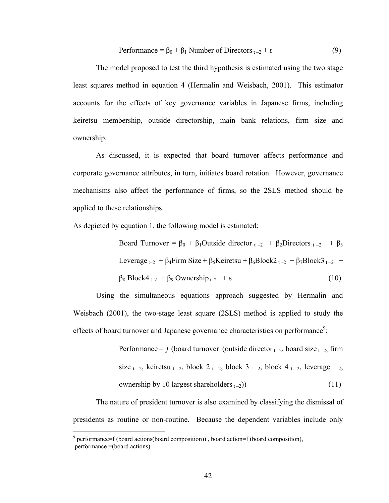$$
Performance = \beta_0 + \beta_1 Number of Directors_{t-2} + \varepsilon
$$
 (9)

The model proposed to test the third hypothesis is estimated using the two stage least squares method in equation 4 (Hermalin and Weisbach, 2001). This estimator accounts for the effects of key governance variables in Japanese firms, including keiretsu membership, outside directorship, main bank relations, firm size and ownership.

As discussed, it is expected that board turnover affects performance and corporate governance attributes, in turn, initiates board rotation. However, governance mechanisms also affect the performance of firms, so the 2SLS method should be applied to these relationships.

As depicted by equation 1, the following model is estimated:

Board Turnover =  $\beta_0 + \beta_1$ Outside director  $t - 2 + \beta_2$ Directors  $t - 2 + \beta_3$ Leverage  $t_{-2}$  +  $\beta_4$ Firm Size +  $\beta_5$ Keiretsu +  $\beta_6$ Block $2t_{-2}$  +  $\beta_7$ Block $3t_{-2}$  +  $\beta_8 \text{Block4}_{t-2} + \beta_9 \text{Ownership}_{t-2} + \varepsilon$  (10)

Using the simultaneous equations approach suggested by Hermalin and Weisbach (2001), the two-stage least square (2SLS) method is applied to study the effects of board turnover and Japanese governance characteristics on performance<sup>9</sup>:

> Performance = f (board turnover (outside director  $_{t-2}$ , board size  $_{t-2}$ , firm size  $t - 2$ , keiretsu  $t - 2$ , block  $2t - 2$ , block  $3t - 2$ , block  $4t - 2$ , leverage  $t - 2$ , ownership by 10 largest shareholders  $_{t-2}$ ) (11)

The nature of president turnover is also examined by classifying the dismissal of presidents as routine or non-routine. Because the dependent variables include only

 $\overline{a}$ 

 $9$  performance=f (board actions(board composition)), board action=f (board composition), performance =(board actions)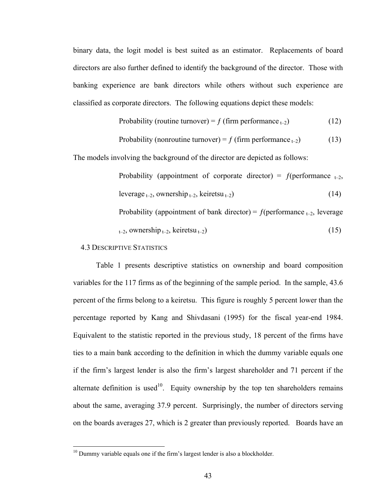binary data, the logit model is best suited as an estimator. Replacements of board directors are also further defined to identify the background of the director. Those with banking experience are bank directors while others without such experience are classified as corporate directors. The following equations depict these models:

Probability (routine turnover) = 
$$
f
$$
 (firm performance <sub>t-2</sub>) (12)

Probability (nonroutine turnover) = 
$$
f
$$
 (firm performance <sub>t-2</sub>) (13)

The models involving the background of the director are depicted as follows:

Probability (appointment of corporate director) =  $f(\text{performance}_{t=2}$ ,  $leverage_{t-2}$ , ownership  $_{t-2}$ , keiretsu  $_{t-2}$ ) (14) Probability (appointment of bank director) =  $f$ (performance  $_{t=2}$ , leverage  $_{t-2}$ , ownership  $_{t-2}$ , keiretsu  $_{t-2}$ ) (15)

#### 4.3 DESCRIPTIVE STATISTICS

 $\overline{a}$ 

Table 1 presents descriptive statistics on ownership and board composition variables for the 117 firms as of the beginning of the sample period. In the sample, 43.6 percent of the firms belong to a keiretsu. This figure is roughly 5 percent lower than the percentage reported by Kang and Shivdasani (1995) for the fiscal year-end 1984. Equivalent to the statistic reported in the previous study, 18 percent of the firms have ties to a main bank according to the definition in which the dummy variable equals one if the firm's largest lender is also the firm's largest shareholder and 71 percent if the alternate definition is used<sup>10</sup>. Equity ownership by the top ten shareholders remains about the same, averaging 37.9 percent. Surprisingly, the number of directors serving on the boards averages 27, which is 2 greater than previously reported. Boards have an

 $10$  Dummy variable equals one if the firm's largest lender is also a blockholder.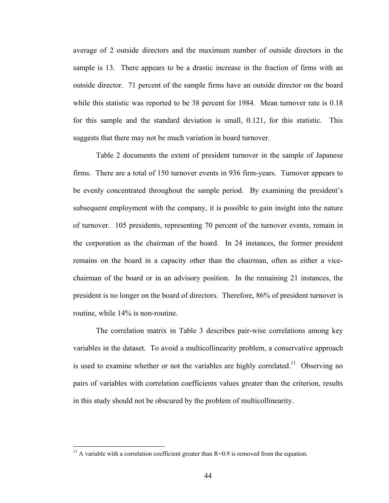average of 2 outside directors and the maximum number of outside directors in the sample is 13. There appears to be a drastic increase in the fraction of firms with an outside director. 71 percent of the sample firms have an outside director on the board while this statistic was reported to be 38 percent for 1984. Mean turnover rate is 0.18 for this sample and the standard deviation is small, 0.121, for this statistic. This suggests that there may not be much variation in board turnover.

Table 2 documents the extent of president turnover in the sample of Japanese firms. There are a total of 150 turnover events in 936 firm-years. Turnover appears to be evenly concentrated throughout the sample period. By examining the president's subsequent employment with the company, it is possible to gain insight into the nature of turnover. 105 presidents, representing 70 percent of the turnover events, remain in the corporation as the chairman of the board. In 24 instances, the former president remains on the board in a capacity other than the chairman, often as either a vicechairman of the board or in an advisory position. In the remaining 21 instances, the president is no longer on the board of directors. Therefore, 86% of president turnover is routine, while 14% is non-routine.

The correlation matrix in Table 3 describes pair-wise correlations among key variables in the dataset. To avoid a multicollinearity problem, a conservative approach is used to examine whether or not the variables are highly correlated.<sup>11</sup> Observing no pairs of variables with correlation coefficients values greater than the criterion, results in this study should not be obscured by the problem of multicollinearity.

 $\overline{a}$ 

<sup>&</sup>lt;sup>11</sup> A variable with a correlation coefficient greater than  $R=0.9$  is removed from the equation.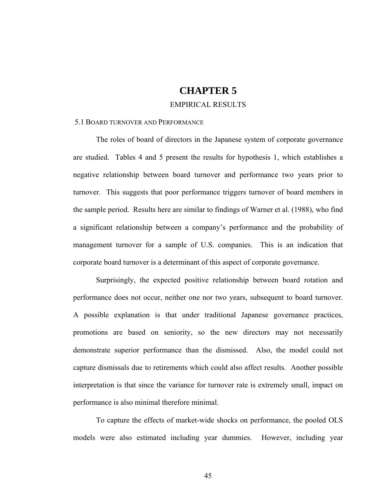### **CHAPTER 5**

### EMPIRICAL RESULTS

#### 5.1 BOARD TURNOVER AND PERFORMANCE

The roles of board of directors in the Japanese system of corporate governance are studied. Tables 4 and 5 present the results for hypothesis 1, which establishes a negative relationship between board turnover and performance two years prior to turnover. This suggests that poor performance triggers turnover of board members in the sample period. Results here are similar to findings of Warner et al. (1988), who find a significant relationship between a company's performance and the probability of management turnover for a sample of U.S. companies. This is an indication that corporate board turnover is a determinant of this aspect of corporate governance.

Surprisingly, the expected positive relationship between board rotation and performance does not occur, neither one nor two years, subsequent to board turnover. A possible explanation is that under traditional Japanese governance practices, promotions are based on seniority, so the new directors may not necessarily demonstrate superior performance than the dismissed. Also, the model could not capture dismissals due to retirements which could also affect results. Another possible interpretation is that since the variance for turnover rate is extremely small, impact on performance is also minimal therefore minimal.

To capture the effects of market-wide shocks on performance, the pooled OLS models were also estimated including year dummies. However, including year

45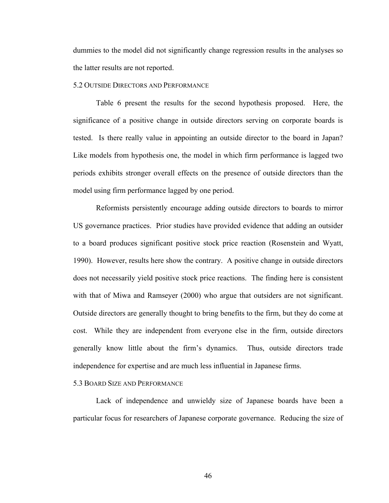dummies to the model did not significantly change regression results in the analyses so the latter results are not reported.

#### 5.2 OUTSIDE DIRECTORS AND PERFORMANCE

 Table 6 present the results for the second hypothesis proposed. Here, the significance of a positive change in outside directors serving on corporate boards is tested. Is there really value in appointing an outside director to the board in Japan? Like models from hypothesis one, the model in which firm performance is lagged two periods exhibits stronger overall effects on the presence of outside directors than the model using firm performance lagged by one period.

Reformists persistently encourage adding outside directors to boards to mirror US governance practices. Prior studies have provided evidence that adding an outsider to a board produces significant positive stock price reaction (Rosenstein and Wyatt, 1990). However, results here show the contrary. A positive change in outside directors does not necessarily yield positive stock price reactions. The finding here is consistent with that of Miwa and Ramseyer (2000) who argue that outsiders are not significant. Outside directors are generally thought to bring benefits to the firm, but they do come at cost. While they are independent from everyone else in the firm, outside directors generally know little about the firm's dynamics. Thus, outside directors trade independence for expertise and are much less influential in Japanese firms.

#### 5.3 BOARD SIZE AND PERFORMANCE

Lack of independence and unwieldy size of Japanese boards have been a particular focus for researchers of Japanese corporate governance. Reducing the size of

46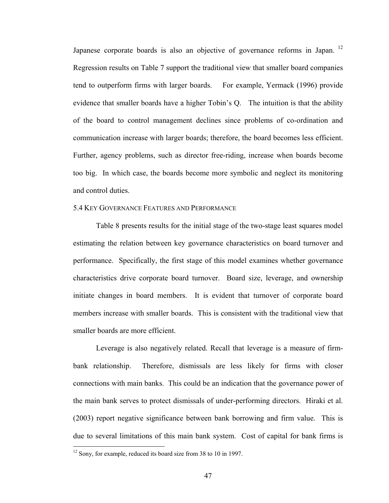Japanese corporate boards is also an objective of governance reforms in Japan. 12 Regression results on Table 7 support the traditional view that smaller board companies tend to outperform firms with larger boards. For example, Yermack (1996) provide evidence that smaller boards have a higher Tobin's Q. The intuition is that the ability of the board to control management declines since problems of co-ordination and communication increase with larger boards; therefore, the board becomes less efficient. Further, agency problems, such as director free-riding, increase when boards become too big. In which case, the boards become more symbolic and neglect its monitoring and control duties.

#### 5.4 KEY GOVERNANCE FEATURES AND PERFORMANCE

 Table 8 presents results for the initial stage of the two-stage least squares model estimating the relation between key governance characteristics on board turnover and performance. Specifically, the first stage of this model examines whether governance characteristics drive corporate board turnover. Board size, leverage, and ownership initiate changes in board members. It is evident that turnover of corporate board members increase with smaller boards. This is consistent with the traditional view that smaller boards are more efficient.

Leverage is also negatively related. Recall that leverage is a measure of firmbank relationship. Therefore, dismissals are less likely for firms with closer connections with main banks. This could be an indication that the governance power of the main bank serves to protect dismissals of under-performing directors. Hiraki et al. (2003) report negative significance between bank borrowing and firm value. This is due to several limitations of this main bank system. Cost of capital for bank firms is

 $\overline{a}$ 

<sup>&</sup>lt;sup>12</sup> Sony, for example, reduced its board size from 38 to 10 in 1997.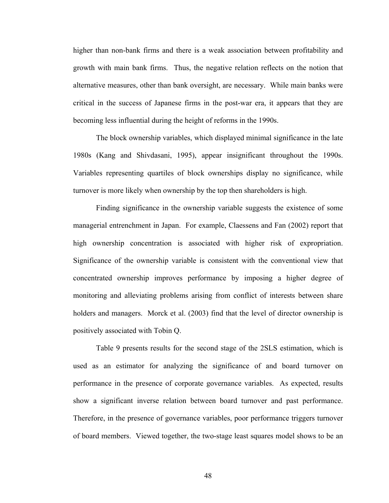higher than non-bank firms and there is a weak association between profitability and growth with main bank firms. Thus, the negative relation reflects on the notion that alternative measures, other than bank oversight, are necessary. While main banks were critical in the success of Japanese firms in the post-war era, it appears that they are becoming less influential during the height of reforms in the 1990s.

The block ownership variables, which displayed minimal significance in the late 1980s (Kang and Shivdasani, 1995), appear insignificant throughout the 1990s. Variables representing quartiles of block ownerships display no significance, while turnover is more likely when ownership by the top then shareholders is high.

Finding significance in the ownership variable suggests the existence of some managerial entrenchment in Japan. For example, Claessens and Fan (2002) report that high ownership concentration is associated with higher risk of expropriation. Significance of the ownership variable is consistent with the conventional view that concentrated ownership improves performance by imposing a higher degree of monitoring and alleviating problems arising from conflict of interests between share holders and managers. Morck et al. (2003) find that the level of director ownership is positively associated with Tobin Q.

Table 9 presents results for the second stage of the 2SLS estimation, which is used as an estimator for analyzing the significance of and board turnover on performance in the presence of corporate governance variables. As expected, results show a significant inverse relation between board turnover and past performance. Therefore, in the presence of governance variables, poor performance triggers turnover of board members. Viewed together, the two-stage least squares model shows to be an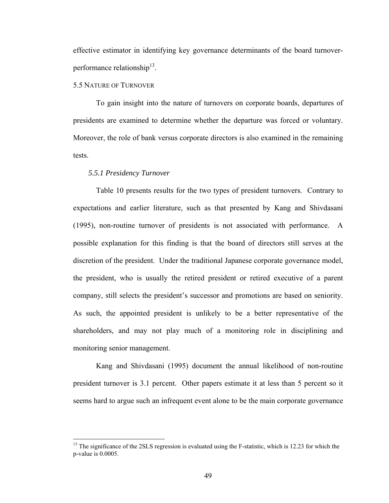effective estimator in identifying key governance determinants of the board turnoverperformance relationship<sup>13</sup>.

### 5.5 NATURE OF TURNOVER

 To gain insight into the nature of turnovers on corporate boards, departures of presidents are examined to determine whether the departure was forced or voluntary. Moreover, the role of bank versus corporate directors is also examined in the remaining tests.

#### *5.5.1 Presidency Turnover*

 $\overline{a}$ 

Table 10 presents results for the two types of president turnovers. Contrary to expectations and earlier literature, such as that presented by Kang and Shivdasani (1995), non-routine turnover of presidents is not associated with performance. A possible explanation for this finding is that the board of directors still serves at the discretion of the president. Under the traditional Japanese corporate governance model, the president, who is usually the retired president or retired executive of a parent company, still selects the president's successor and promotions are based on seniority. As such, the appointed president is unlikely to be a better representative of the shareholders, and may not play much of a monitoring role in disciplining and monitoring senior management.

Kang and Shivdasani (1995) document the annual likelihood of non-routine president turnover is 3.1 percent. Other papers estimate it at less than 5 percent so it seems hard to argue such an infrequent event alone to be the main corporate governance

<sup>&</sup>lt;sup>13</sup> The significance of the 2SLS regression is evaluated using the F-statistic, which is 12.23 for which the p-value is 0.0005.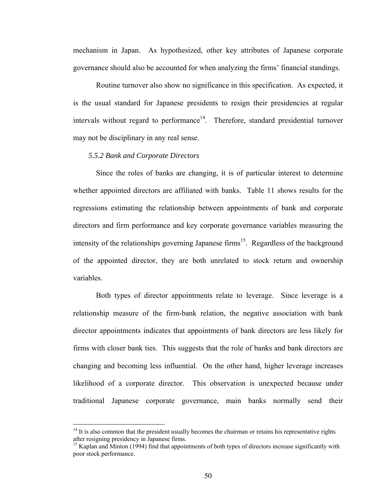mechanism in Japan. As hypothesized, other key attributes of Japanese corporate governance should also be accounted for when analyzing the firms' financial standings.

Routine turnover also show no significance in this specification. As expected, it is the usual standard for Japanese presidents to resign their presidencies at regular intervals without regard to performance<sup>14</sup>. Therefore, standard presidential turnover may not be disciplinary in any real sense.

#### *5.5.2 Bank and Corporate Directors*

 $\overline{a}$ 

Since the roles of banks are changing, it is of particular interest to determine whether appointed directors are affiliated with banks. Table 11 shows results for the regressions estimating the relationship between appointments of bank and corporate directors and firm performance and key corporate governance variables measuring the intensity of the relationships governing Japanese firms<sup>15</sup>. Regardless of the background of the appointed director, they are both unrelated to stock return and ownership variables.

Both types of director appointments relate to leverage. Since leverage is a relationship measure of the firm-bank relation, the negative association with bank director appointments indicates that appointments of bank directors are less likely for firms with closer bank ties. This suggests that the role of banks and bank directors are changing and becoming less influential. On the other hand, higher leverage increases likelihood of a corporate director. This observation is unexpected because under traditional Japanese corporate governance, main banks normally send their

 $<sup>14</sup>$  It is also common that the president usually becomes the chairman or retains his representative rights</sup> after resigning presidency in Japanese firms.

<sup>&</sup>lt;sup>15</sup> Kaplan and Minton (1994) find that appointments of both types of directors increase significantly with poor stock performance.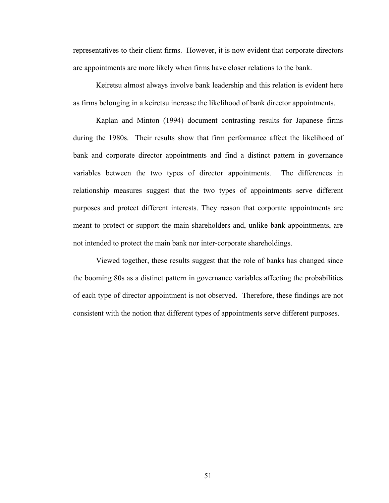representatives to their client firms. However, it is now evident that corporate directors are appointments are more likely when firms have closer relations to the bank.

Keiretsu almost always involve bank leadership and this relation is evident here as firms belonging in a keiretsu increase the likelihood of bank director appointments.

Kaplan and Minton (1994) document contrasting results for Japanese firms during the 1980s. Their results show that firm performance affect the likelihood of bank and corporate director appointments and find a distinct pattern in governance variables between the two types of director appointments. The differences in relationship measures suggest that the two types of appointments serve different purposes and protect different interests. They reason that corporate appointments are meant to protect or support the main shareholders and, unlike bank appointments, are not intended to protect the main bank nor inter-corporate shareholdings.

Viewed together, these results suggest that the role of banks has changed since the booming 80s as a distinct pattern in governance variables affecting the probabilities of each type of director appointment is not observed. Therefore, these findings are not consistent with the notion that different types of appointments serve different purposes.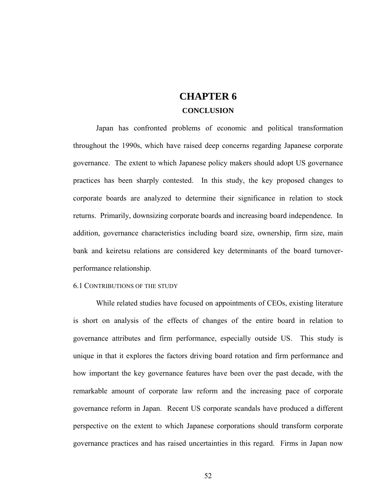# **CHAPTER 6 CONCLUSION**

Japan has confronted problems of economic and political transformation throughout the 1990s, which have raised deep concerns regarding Japanese corporate governance. The extent to which Japanese policy makers should adopt US governance practices has been sharply contested. In this study, the key proposed changes to corporate boards are analyzed to determine their significance in relation to stock returns. Primarily, downsizing corporate boards and increasing board independence. In addition, governance characteristics including board size, ownership, firm size, main bank and keiretsu relations are considered key determinants of the board turnoverperformance relationship.

#### 6.1 CONTRIBUTIONS OF THE STUDY

While related studies have focused on appointments of CEOs, existing literature is short on analysis of the effects of changes of the entire board in relation to governance attributes and firm performance, especially outside US. This study is unique in that it explores the factors driving board rotation and firm performance and how important the key governance features have been over the past decade, with the remarkable amount of corporate law reform and the increasing pace of corporate governance reform in Japan. Recent US corporate scandals have produced a different perspective on the extent to which Japanese corporations should transform corporate governance practices and has raised uncertainties in this regard. Firms in Japan now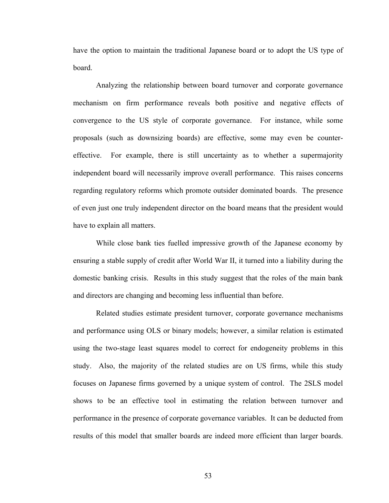have the option to maintain the traditional Japanese board or to adopt the US type of board.

Analyzing the relationship between board turnover and corporate governance mechanism on firm performance reveals both positive and negative effects of convergence to the US style of corporate governance. For instance, while some proposals (such as downsizing boards) are effective, some may even be countereffective. For example, there is still uncertainty as to whether a supermajority independent board will necessarily improve overall performance. This raises concerns regarding regulatory reforms which promote outsider dominated boards. The presence of even just one truly independent director on the board means that the president would have to explain all matters.

While close bank ties fuelled impressive growth of the Japanese economy by ensuring a stable supply of credit after World War II, it turned into a liability during the domestic banking crisis. Results in this study suggest that the roles of the main bank and directors are changing and becoming less influential than before.

Related studies estimate president turnover, corporate governance mechanisms and performance using OLS or binary models; however, a similar relation is estimated using the two-stage least squares model to correct for endogeneity problems in this study. Also, the majority of the related studies are on US firms, while this study focuses on Japanese firms governed by a unique system of control. The 2SLS model shows to be an effective tool in estimating the relation between turnover and performance in the presence of corporate governance variables. It can be deducted from results of this model that smaller boards are indeed more efficient than larger boards.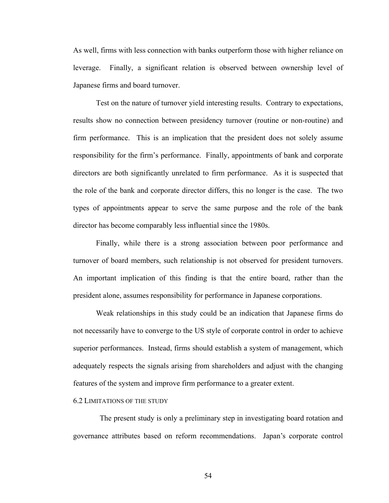As well, firms with less connection with banks outperform those with higher reliance on leverage. Finally, a significant relation is observed between ownership level of Japanese firms and board turnover.

Test on the nature of turnover yield interesting results. Contrary to expectations, results show no connection between presidency turnover (routine or non-routine) and firm performance. This is an implication that the president does not solely assume responsibility for the firm's performance. Finally, appointments of bank and corporate directors are both significantly unrelated to firm performance. As it is suspected that the role of the bank and corporate director differs, this no longer is the case. The two types of appointments appear to serve the same purpose and the role of the bank director has become comparably less influential since the 1980s.

Finally, while there is a strong association between poor performance and turnover of board members, such relationship is not observed for president turnovers. An important implication of this finding is that the entire board, rather than the president alone, assumes responsibility for performance in Japanese corporations.

Weak relationships in this study could be an indication that Japanese firms do not necessarily have to converge to the US style of corporate control in order to achieve superior performances. Instead, firms should establish a system of management, which adequately respects the signals arising from shareholders and adjust with the changing features of the system and improve firm performance to a greater extent.

#### 6.2 LIMITATIONS OF THE STUDY

 The present study is only a preliminary step in investigating board rotation and governance attributes based on reform recommendations. Japan's corporate control

54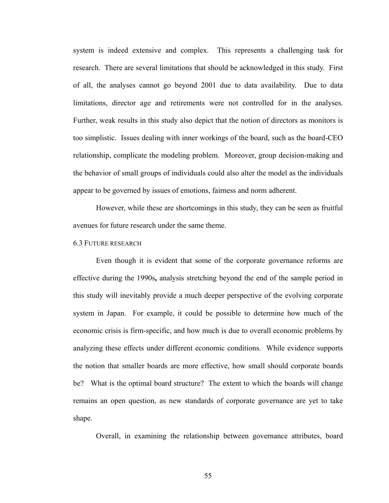system is indeed extensive and complex. This represents a challenging task for research. There are several limitations that should be acknowledged in this study. First of all, the analyses cannot go beyond 2001 due to data availability. Due to data limitations, director age and retirements were not controlled for in the analyses. Further, weak results in this study also depict that the notion of directors as monitors is too simplistic. Issues dealing with inner workings of the board, such as the board-CEO relationship, complicate the modeling problem. Moreover, group decision-making and the behavior of small groups of individuals could also alter the model as the individuals appear to be governed by issues of emotions, fairness and norm adherent.

However, while these are shortcomings in this study, they can be seen as fruitful avenues for future research under the same theme.

#### 6.3 FUTURE RESEARCH

Even though it is evident that some of the corporate governance reforms are effective during the 1990s**,** analysis stretching beyond the end of the sample period in this study will inevitably provide a much deeper perspective of the evolving corporate system in Japan. For example, it could be possible to determine how much of the economic crisis is firm-specific, and how much is due to overall economic problems by analyzing these effects under different economic conditions. While evidence supports the notion that smaller boards are more effective, how small should corporate boards be? What is the optimal board structure? The extent to which the boards will change remains an open question, as new standards of corporate governance are yet to take shape.

Overall, in examining the relationship between governance attributes, board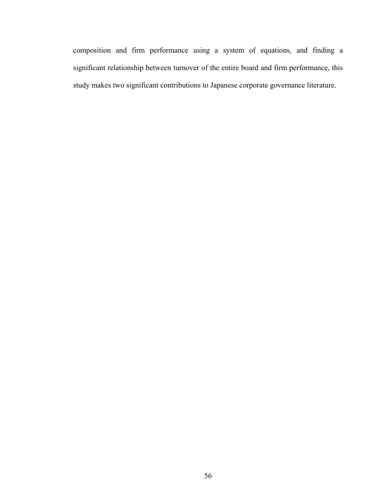composition and firm performance using a system of equations, and finding a significant relationship between turnover of the entire board and firm performance, this study makes two significant contributions to Japanese corporate governance literature.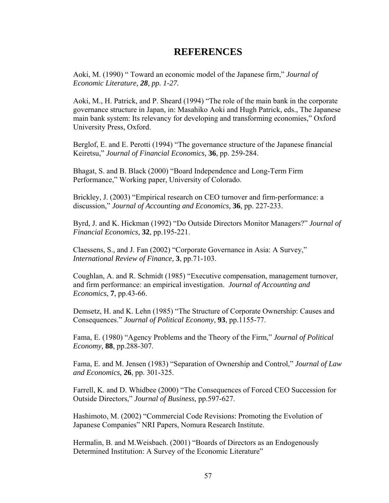### **REFERENCES**

Aoki, M. (1990) " Toward an economic model of the Japanese firm," *Journal of Economic Literature, 28, pp. 1-27.* 

Aoki, M., H. Patrick, and P. Sheard (1994) "The role of the main bank in the corporate governance structure in Japan, in: Masahiko Aoki and Hugh Patrick, eds., The Japanese main bank system: Its relevancy for developing and transforming economies," Oxford University Press, Oxford.

Berglof, E. and E. Perotti (1994) "The governance structure of the Japanese financial Keiretsu," *Journal of Financial Economics,* **36**, pp. 259-284.

Bhagat, S. and B. Black (2000) "Board Independence and Long-Term Firm Performance," Working paper, University of Colorado.

Brickley, J. (2003) "Empirical research on CEO turnover and firm-performance: a discussion," *Journal of Accounting and Economics,* **36**, pp. 227-233.

Byrd, J. and K. Hickman (1992) "Do Outside Directors Monitor Managers?" *Journal of Financial Economics,* **32**, pp.195-221.

Claessens, S., and J. Fan (2002) "Corporate Governance in Asia: A Survey," *International Review of Finance,* **3**, pp.71-103.

Coughlan, A. and R. Schmidt (1985) "Executive compensation, management turnover, and firm performance: an empirical investigation. *Journal of Accounting and Economics*, **7**, pp.43-66.

Demsetz, H. and K. Lehn (1985) "The Structure of Corporate Ownership: Causes and Consequences." *Journal of Political Economy*, **93**, pp.1155-77.

Fama, E. (1980) "Agency Problems and the Theory of the Firm," *Journal of Political Economy,* **88**, pp.288-307.

Fama, E. and M. Jensen (1983) "Separation of Ownership and Control," *Journal of Law and Economics,* **26**, pp. 301-325.

Farrell, K. and D. Whidbee (2000) "The Consequences of Forced CEO Succession for Outside Directors," *Journal of Business,* pp.597-627.

Hashimoto, M. (2002) "Commercial Code Revisions: Promoting the Evolution of Japanese Companies" NRI Papers, Nomura Research Institute.

Hermalin, B. and M.Weisbach. (2001) "Boards of Directors as an Endogenously Determined Institution: A Survey of the Economic Literature"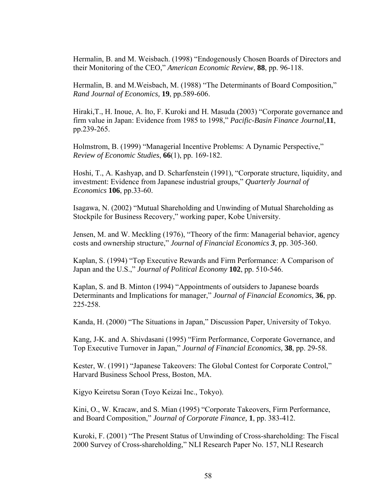Hermalin, B. and M. Weisbach. (1998) "Endogenously Chosen Boards of Directors and their Monitoring of the CEO," *American Economic Review*, **88**, pp. 96-118.

Hermalin, B. and M.Weisbach, M. (1988) "The Determinants of Board Composition," *Rand Journal of Economics,* **19**, pp.589-606.

Hiraki, T., H. Inoue, A. Ito, F. Kuroki and H. Masuda (2003) "Corporate governance and firm value in Japan: Evidence from 1985 to 1998," *Pacific-Basin Finance Journal,***11**, pp.239-265.

Holmstrom, B. (1999) "Managerial Incentive Problems: A Dynamic Perspective," *Review of Economic Studies*, **66**(1), pp. 169-182.

Hoshi, T., A. Kashyap, and D. Scharfenstein (1991), "Corporate structure, liquidity, and investment: Evidence from Japanese industrial groups," *Quarterly Journal of Economics* **106**, pp.33-60.

Isagawa, N. (2002) "Mutual Shareholding and Unwinding of Mutual Shareholding as Stockpile for Business Recovery," working paper, Kobe University.

Jensen, M. and W. Meckling (1976), "Theory of the firm: Managerial behavior, agency costs and ownership structure," *Journal of Financial Economics 3*, pp. 305-360.

Kaplan, S. (1994) "Top Executive Rewards and Firm Performance: A Comparison of Japan and the U.S.," *Journal of Political Economy* **102**, pp. 510-546.

Kaplan, S. and B. Minton (1994) "Appointments of outsiders to Japanese boards Determinants and Implications for manager," *Journal of Financial Economics,* **36**, pp. 225-258.

Kanda, H. (2000) "The Situations in Japan," Discussion Paper, University of Tokyo.

Kang, J-K. and A. Shivdasani (1995) "Firm Performance, Corporate Governance, and Top Executive Turnover in Japan," *Journal of Financial Economics,* **38**, pp. 29-58.

Kester, W. (1991) "Japanese Takeovers: The Global Contest for Corporate Control," Harvard Business School Press, Boston, MA.

Kigyo Keiretsu Soran (Toyo Keizai Inc., Tokyo).

Kini, O., W. Kracaw, and S. Mian (1995) "Corporate Takeovers, Firm Performance, and Board Composition," *Journal of Corporate Finance,* **1**, pp. 383-412.

Kuroki, F. (2001) "The Present Status of Unwinding of Cross-shareholding: The Fiscal 2000 Survey of Cross-shareholding," NLI Research Paper No. 157, NLI Research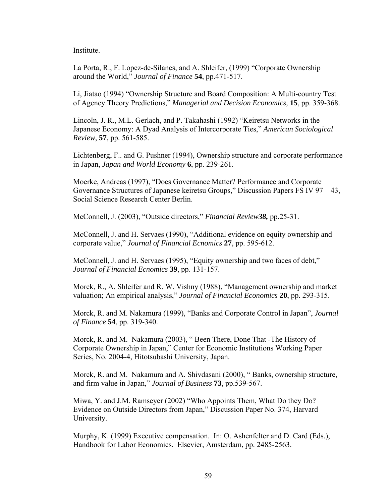Institute.

La Porta, R., F. Lopez-de-Silanes, and A. Shleifer, (1999) "Corporate Ownership around the World," *Journal of Finance* **54**, pp.471-517.

Li, Jiatao (1994) "Ownership Structure and Board Composition: A Multi-country Test of Agency Theory Predictions," *Managerial and Decision Economics,* **15**, pp. 359-368.

Lincoln, J. R., M.L. Gerlach, and P. Takahashi (1992) "Keiretsu Networks in the Japanese Economy: A Dyad Analysis of Intercorporate Ties," *American Sociological Review*, **57**, pp. 561-585.

Lichtenberg, F.. and G. Pushner (1994), Ownership structure and corporate performance in Japan, *Japan and World Economy* **6**, pp. 239-261.

Moerke, Andreas (1997), "Does Governance Matter? Performance and Corporate Governance Structures of Japanese keiretsu Groups," Discussion Papers FS IV 97 – 43, Social Science Research Center Berlin.

McConnell, J. (2003), "Outside directors," *Financial Review38,* pp.25-31.

McConnell, J. and H. Servaes (1990), "Additional evidence on equity ownership and corporate value," *Journal of Financial Ecnomics* **27**, pp. 595-612.

McConnell, J. and H. Servaes (1995), "Equity ownership and two faces of debt," *Journal of Financial Ecnomics* **39**, pp. 131-157.

Morck, R., A. Shleifer and R. W. Vishny (1988), "Management ownership and market valuation; An empirical analysis," *Journal of Financial Economics* **20**, pp. 293-315.

Morck, R. and M. Nakamura (1999), "Banks and Corporate Control in Japan", *Journal of Finance* **54**, pp. 319-340.

Morck, R. and M. Nakamura (2003), " Been There, Done That -The History of Corporate Ownership in Japan," Center for Economic Institutions Working Paper Series, No. 2004-4, Hitotsubashi University, Japan.

Morck, R. and M. Nakamura and A. Shivdasani (2000), " Banks, ownership structure, and firm value in Japan," *Journal of Business* **73**, pp.539-567.

Miwa, Y. and J.M. Ramseyer (2002) "Who Appoints Them, What Do they Do? Evidence on Outside Directors from Japan," Discussion Paper No. 374, Harvard University.

Murphy, K. (1999) Executive compensation. In: O. Ashenfelter and D. Card (Eds.), Handbook for Labor Economics. Elsevier, Amsterdam, pp. 2485-2563.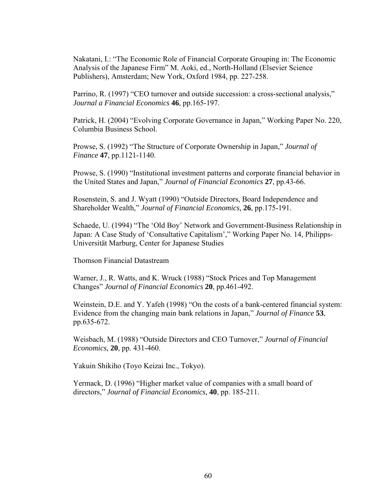Nakatani, I.: "The Economic Role of Financial Corporate Grouping in: The Economic Analysis of the Japanese Firm" M. Aoki, ed., North-Holland (Elsevier Science Publishers), Amsterdam; New York, Oxford 1984, pp. 227-258.

Parrino, R. (1997) "CEO turnover and outside succession: a cross-sectional analysis," *Journal a Financial Economics* **46**, pp.165-197.

Patrick, H. (2004) "Evolving Corporate Governance in Japan," Working Paper No. 220, Columbia Business School.

Prowse, S. (1992) "The Structure of Corporate Ownership in Japan," *Journal of Finance* **47**, pp.1121-1140.

Prowse, S. (1990) "Institutional investment patterns and corporate financial behavior in the United States and Japan," *Journal of Financial Economics* **27**, pp.43-66.

Rosenstein, S. and J. Wyatt (1990) "Outside Directors, Board Independence and Shareholder Wealth," *Journal of Financial Economics,* **26**, pp.175-191.

Schaede, U. (1994) "The 'Old Boy' Network and Government-Business Relationship in Japan: A Case Study of 'Consultative Capitalism'," Working Paper No. 14, Philipps-Universität Marburg, Center for Japanese Studies

Thomson Financial Datastream

Warner, J., R. Watts, and K. Wruck (1988) "Stock Prices and Top Management Changes" *Journal of Financial Economics* **20**, pp.461-492.

Weinstein, D.E. and Y. Yafeh (1998) "On the costs of a bank-centered financial system: Evidence from the changing main bank relations in Japan," *Journal of Finance* **53**, pp.635-672.

Weisbach, M. (1988) "Outside Directors and CEO Turnover," *Journal of Financial Economics*, **20**, pp. 431-460.

Yakuin Shikiho (Toyo Keizai Inc., Tokyo).

Yermack, D. (1996) "Higher market value of companies with a small board of directors," *Journal of Financial Economics,* **40**, pp. 185-211.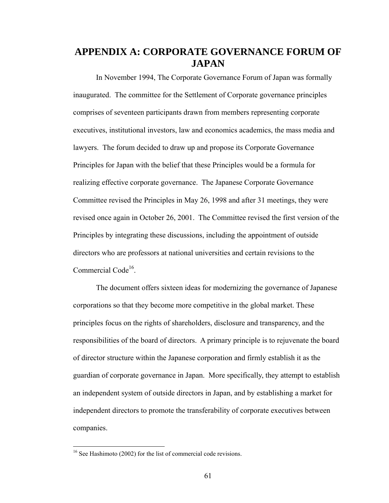## **APPENDIX A: CORPORATE GOVERNANCE FORUM OF JAPAN**

In November 1994, The Corporate Governance Forum of Japan was formally inaugurated. The committee for the Settlement of Corporate governance principles comprises of seventeen participants drawn from members representing corporate executives, institutional investors, law and economics academics, the mass media and lawyers. The forum decided to draw up and propose its Corporate Governance Principles for Japan with the belief that these Principles would be a formula for realizing effective corporate governance. The Japanese Corporate Governance Committee revised the Principles in May 26, 1998 and after 31 meetings, they were revised once again in October 26, 2001. The Committee revised the first version of the Principles by integrating these discussions, including the appointment of outside directors who are professors at national universities and certain revisions to the Commercial Code<sup>16</sup>.

The document offers sixteen ideas for modernizing the governance of Japanese corporations so that they become more competitive in the global market. These principles focus on the rights of shareholders, disclosure and transparency, and the responsibilities of the board of directors. A primary principle is to rejuvenate the board of director structure within the Japanese corporation and firmly establish it as the guardian of corporate governance in Japan. More specifically, they attempt to establish an independent system of outside directors in Japan, and by establishing a market for independent directors to promote the transferability of corporate executives between companies.

 $\overline{a}$ 

<sup>&</sup>lt;sup>16</sup> See Hashimoto (2002) for the list of commercial code revisions.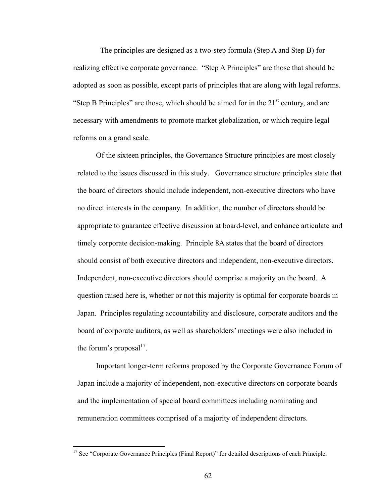The principles are designed as a two-step formula (Step A and Step B) for realizing effective corporate governance. "Step A Principles" are those that should be adopted as soon as possible, except parts of principles that are along with legal reforms. "Step B Principles" are those, which should be aimed for in the  $21<sup>st</sup>$  century, and are necessary with amendments to promote market globalization, or which require legal reforms on a grand scale.

Of the sixteen principles, the Governance Structure principles are most closely related to the issues discussed in this study*.* Governance structure principles state that the board of directors should include independent, non-executive directors who have no direct interests in the company. In addition, the number of directors should be appropriate to guarantee effective discussion at board-level, and enhance articulate and timely corporate decision-making. Principle 8A states that the board of directors should consist of both executive directors and independent, non-executive directors. Independent, non-executive directors should comprise a majority on the board. A question raised here is, whether or not this majority is optimal for corporate boards in Japan. Principles regulating accountability and disclosure, corporate auditors and the board of corporate auditors, as well as shareholders' meetings were also included in the forum's proposal<sup>17</sup>.

Important longer-term reforms proposed by the Corporate Governance Forum of Japan include a majority of independent, non-executive directors on corporate boards and the implementation of special board committees including nominating and remuneration committees comprised of a majority of independent directors.

 $\overline{a}$ 

<sup>&</sup>lt;sup>17</sup> See "Corporate Governance Principles (Final Report)" for detailed descriptions of each Principle.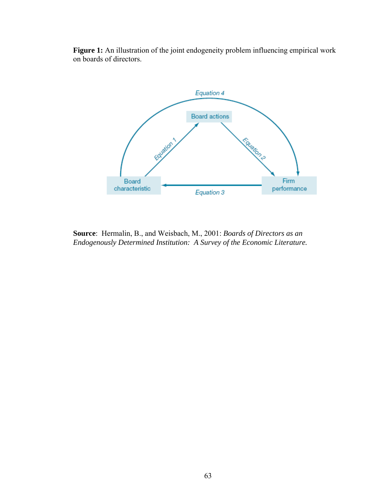Figure 1: An illustration of the joint endogeneity problem influencing empirical work on boards of directors.



**Source**: Hermalin, B., and Weisbach, M., 2001: *Boards of Directors as an Endogenously Determined Institution: A Survey of the Economic Literature.*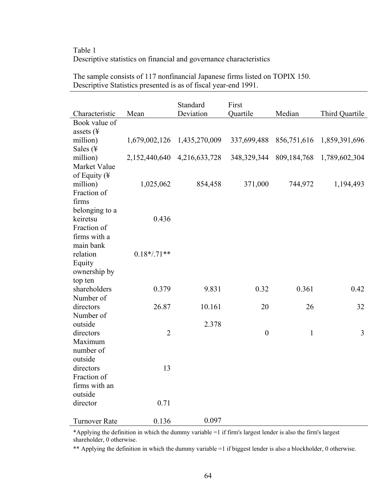# Table 1 Descriptive statistics on financial and governance characteristics

|                                 |                | Standard                    | First            |              |                |
|---------------------------------|----------------|-----------------------------|------------------|--------------|----------------|
| Characteristic<br>Book value of | Mean           | Deviation                   | Quartile         | Median       | Third Quartile |
| assets (¥                       |                |                             |                  |              |                |
| million)                        | 1,679,002,126  | 1,435,270,009               | 337,699,488      | 856,751,616  | 1,859,391,696  |
| Sales (¥                        |                |                             |                  |              |                |
| million)                        |                | 2,152,440,640 4,216,633,728 | 348, 329, 344    | 809,184,768  | 1,789,602,304  |
| Market Value                    |                |                             |                  |              |                |
| of Equity $($                   |                |                             |                  |              |                |
| million)                        | 1,025,062      | 854,458                     | 371,000          | 744,972      | 1,194,493      |
| Fraction of                     |                |                             |                  |              |                |
| firms                           |                |                             |                  |              |                |
| belonging to a                  |                |                             |                  |              |                |
| keiretsu                        | 0.436          |                             |                  |              |                |
| Fraction of                     |                |                             |                  |              |                |
| firms with a                    |                |                             |                  |              |                |
| main bank                       |                |                             |                  |              |                |
| relation                        | $0.18*/.71**$  |                             |                  |              |                |
| Equity                          |                |                             |                  |              |                |
| ownership by<br>top ten         |                |                             |                  |              |                |
| shareholders                    | 0.379          | 9.831                       | 0.32             | 0.361        | 0.42           |
| Number of                       |                |                             |                  |              |                |
| directors                       | 26.87          | 10.161                      | 20               | 26           | 32             |
| Number of                       |                |                             |                  |              |                |
| outside                         |                | 2.378                       |                  |              |                |
| directors                       | $\overline{2}$ |                             | $\boldsymbol{0}$ | $\mathbf{1}$ | $\overline{3}$ |
| Maximum                         |                |                             |                  |              |                |
| number of                       |                |                             |                  |              |                |
| outside                         |                |                             |                  |              |                |
| directors                       | 13             |                             |                  |              |                |
| Fraction of                     |                |                             |                  |              |                |
| firms with an                   |                |                             |                  |              |                |
| outside<br>director             | 0.71           |                             |                  |              |                |
|                                 |                |                             |                  |              |                |
| <b>Turnover Rate</b>            | 0.136          | 0.097                       |                  |              |                |

The sample consists of 117 nonfinancial Japanese firms listed on TOPIX 150. Descriptive Statistics presented is as of fiscal year-end 1991.

\*Applying the definition in which the dummy variable =1 if firm's largest lender is also the firm's largest shareholder, 0 otherwise.

\*\* Applying the definition in which the dummy variable =1 if biggest lender is also a blockholder, 0 otherwise.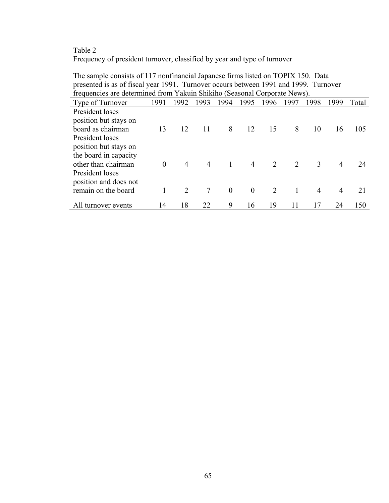# Table 2 Frequency of president turnover, classified by year and type of turnover

| $\mu$ , and the contract $\mu$ and $\mu$ and $\mu$ and $\mu$ and $\mu$ are $\mu$ and $\mu$ and $\mu$ and $\mu$ |          |      |                |          |          |      |      |      |      |       |
|----------------------------------------------------------------------------------------------------------------|----------|------|----------------|----------|----------|------|------|------|------|-------|
| frequencies are determined from Yakuin Shikiho (Seasonal Corporate News).                                      |          |      |                |          |          |      |      |      |      |       |
| Type of Turnover                                                                                               | 1991     | 1992 | 1993           | 1994     | 1995     | 1996 | 1997 | 1998 | 1999 | Total |
| President loses                                                                                                |          |      |                |          |          |      |      |      |      |       |
| position but stays on                                                                                          |          |      |                |          |          |      |      |      |      |       |
| board as chairman                                                                                              | 13       | 12   | 11             | 8        | 12       | 15   | 8    | 10   | 16   | 105   |
| President loses                                                                                                |          |      |                |          |          |      |      |      |      |       |
| position but stays on                                                                                          |          |      |                |          |          |      |      |      |      |       |
| the board in capacity                                                                                          |          |      |                |          |          |      |      |      |      |       |
| other than chairman                                                                                            | $\Omega$ | 4    | $\overline{4}$ | 1        | 4        | 2    | 2    | 3    | 4    | 24    |
| President loses                                                                                                |          |      |                |          |          |      |      |      |      |       |
| position and does not                                                                                          |          |      |                |          |          |      |      |      |      |       |
| remain on the board                                                                                            |          |      | 7              | $\theta$ | $\theta$ | 2    |      | 4    | 4    | 21    |
|                                                                                                                | 14       |      | 22             | 9        | 16       | 19   | 11   | 17   | 24   |       |
| All turnover events                                                                                            |          | 18   |                |          |          |      |      |      |      | 150   |

The sample consists of 117 nonfinancial Japanese firms listed on TOPIX 150. Data presented is as of fiscal year 1991. Turnover occurs between 1991 and 1999. Turnover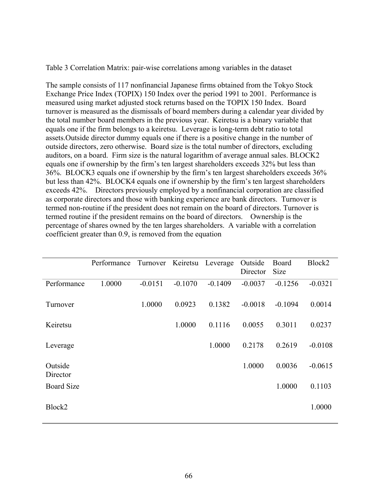Table 3 Correlation Matrix: pair-wise correlations among variables in the dataset

The sample consists of 117 nonfinancial Japanese firms obtained from the Tokyo Stock Exchange Price Index (TOPIX) 150 Index over the period 1991 to 2001. Performance is measured using market adjusted stock returns based on the TOPIX 150 Index. Board turnover is measured as the dismissals of board members during a calendar year divided by the total number board members in the previous year. Keiretsu is a binary variable that equals one if the firm belongs to a keiretsu. Leverage is long-term debt ratio to total assets.Outside director dummy equals one if there is a positive change in the number of outside directors, zero otherwise. Board size is the total number of directors, excluding auditors, on a board. Firm size is the natural logarithm of average annual sales. BLOCK2 equals one if ownership by the firm's ten largest shareholders exceeds 32% but less than 36%. BLOCK3 equals one if ownership by the firm's ten largest shareholders exceeds 36% but less than 42%. BLOCK4 equals one if ownership by the firm's ten largest shareholders exceeds 42%. Directors previously employed by a nonfinancial corporation are classified as corporate directors and those with banking experience are bank directors. Turnover is termed non-routine if the president does not remain on the board of directors. Turnover is termed routine if the president remains on the board of directors. Ownership is the percentage of shares owned by the ten larges shareholders. A variable with a correlation coefficient greater than 0.9, is removed from the equation

|                     | Performance | Turnover Keiretsu |           | Leverage  | Outside<br>Director | Board<br>Size | Block2    |
|---------------------|-------------|-------------------|-----------|-----------|---------------------|---------------|-----------|
| Performance         | 1.0000      | $-0.0151$         | $-0.1070$ | $-0.1409$ | $-0.0037$           | $-0.1256$     | $-0.0321$ |
| Turnover            |             | 1.0000            | 0.0923    | 0.1382    | $-0.0018$           | $-0.1094$     | 0.0014    |
| Keiretsu            |             |                   | 1.0000    | 0.1116    | 0.0055              | 0.3011        | 0.0237    |
| Leverage            |             |                   |           | 1.0000    | 0.2178              | 0.2619        | $-0.0108$ |
| Outside<br>Director |             |                   |           |           | 1.0000              | 0.0036        | $-0.0615$ |
| <b>Board Size</b>   |             |                   |           |           |                     | 1.0000        | 0.1103    |
| Block2              |             |                   |           |           |                     |               | 1.0000    |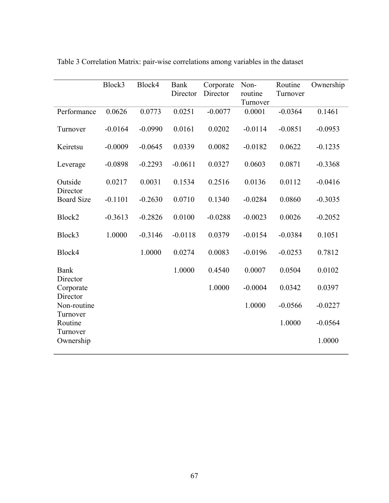|                                 | Block3    | Block4    | <b>Bank</b><br>Director | Corporate<br>Director | Non-<br>routine<br>Turnover | Routine<br>Turnover | Ownership |
|---------------------------------|-----------|-----------|-------------------------|-----------------------|-----------------------------|---------------------|-----------|
| Performance                     | 0.0626    | 0.0773    | 0.0251                  | $-0.0077$             | 0.0001                      | $-0.0364$           | 0.1461    |
| Turnover                        | $-0.0164$ | $-0.0990$ | 0.0161                  | 0.0202                | $-0.0114$                   | $-0.0851$           | $-0.0953$ |
| Keiretsu                        | $-0.0009$ | $-0.0645$ | 0.0339                  | 0.0082                | $-0.0182$                   | 0.0622              | $-0.1235$ |
| Leverage                        | $-0.0898$ | $-0.2293$ | $-0.0611$               | 0.0327                | 0.0603                      | 0.0871              | $-0.3368$ |
| Outside<br>Director             | 0.0217    | 0.0031    | 0.1534                  | 0.2516                | 0.0136                      | 0.0112              | $-0.0416$ |
| <b>Board Size</b>               | $-0.1101$ | $-0.2630$ | 0.0710                  | 0.1340                | $-0.0284$                   | 0.0860              | $-0.3035$ |
| Block2                          | $-0.3613$ | $-0.2826$ | 0.0100                  | $-0.0288$             | $-0.0023$                   | 0.0026              | $-0.2052$ |
| Block3                          | 1.0000    | $-0.3146$ | $-0.0118$               | 0.0379                | $-0.0154$                   | $-0.0384$           | 0.1051    |
| Block4                          |           | 1.0000    | 0.0274                  | 0.0083                | $-0.0196$                   | $-0.0253$           | 0.7812    |
| <b>Bank</b><br>Director         |           |           | 1.0000                  | 0.4540                | 0.0007                      | 0.0504              | 0.0102    |
| Corporate                       |           |           |                         | 1.0000                | $-0.0004$                   | 0.0342              | 0.0397    |
| Director<br>Non-routine         |           |           |                         |                       | 1.0000                      | $-0.0566$           | $-0.0227$ |
| Turnover<br>Routine<br>Turnover |           |           |                         |                       |                             | 1.0000              | $-0.0564$ |
| Ownership                       |           |           |                         |                       |                             |                     | 1.0000    |

Table 3 Correlation Matrix: pair-wise correlations among variables in the dataset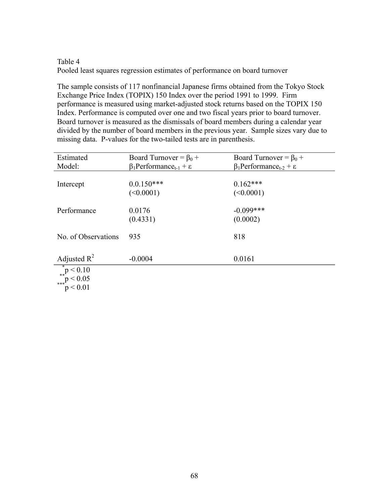# Table 4 Pooled least squares regression estimates of performance on board turnover

The sample consists of 117 nonfinancial Japanese firms obtained from the Tokyo Stock Exchange Price Index (TOPIX) 150 Index over the period 1991 to 1999. Firm performance is measured using market-adjusted stock returns based on the TOPIX 150 Index. Performance is computed over one and two fiscal years prior to board turnover. Board turnover is measured as the dismissals of board members during a calendar year divided by the number of board members in the previous year. Sample sizes vary due to missing data. P-values for the two-tailed tests are in parenthesis.

| Estimated                                                                                        | Board Turnover = $\beta_0$ +                         | Board Turnover = $\beta_0$ +                         |
|--------------------------------------------------------------------------------------------------|------------------------------------------------------|------------------------------------------------------|
| Model:                                                                                           | $\beta_1$ Performance <sub>t-1</sub> + $\varepsilon$ | $\beta_1$ Performance <sub>t-2</sub> + $\varepsilon$ |
|                                                                                                  |                                                      |                                                      |
| Intercept                                                                                        | $0.0.150***$                                         | $0.162***$                                           |
|                                                                                                  | (<0.0001)                                            | (<0.0001)                                            |
|                                                                                                  |                                                      |                                                      |
| Performance                                                                                      | 0.0176                                               | $-0.099***$                                          |
|                                                                                                  | (0.4331)                                             | (0.0002)                                             |
|                                                                                                  |                                                      |                                                      |
| No. of Observations                                                                              | 935                                                  | 818                                                  |
|                                                                                                  |                                                      |                                                      |
|                                                                                                  |                                                      |                                                      |
| Adjusted $R^2$                                                                                   | $-0.0004$                                            | 0.0161                                               |
|                                                                                                  |                                                      |                                                      |
| $\begin{array}{c}\n p < 0.10 \\  * \cdot \quad p < 0.05 \\  * \cdot \quad p < 0.01\n\end{array}$ |                                                      |                                                      |
|                                                                                                  |                                                      |                                                      |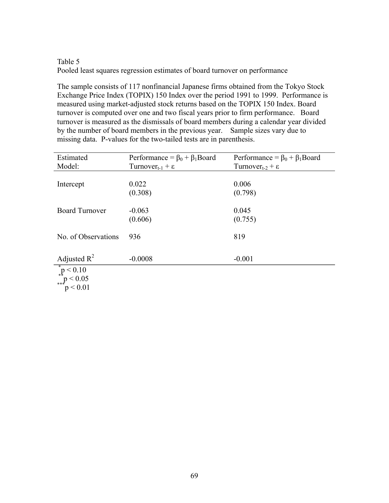# Table 5 Pooled least squares regression estimates of board turnover on performance

The sample consists of 117 nonfinancial Japanese firms obtained from the Tokyo Stock Exchange Price Index (TOPIX) 150 Index over the period 1991 to 1999. Performance is measured using market-adjusted stock returns based on the TOPIX 150 Index. Board turnover is computed over one and two fiscal years prior to firm performance. Board turnover is measured as the dismissals of board members during a calendar year divided by the number of board members in the previous year. Sample sizes vary due to missing data. P-values for the two-tailed tests are in parenthesis.

| Estimated                                                                                                                                  | Performance = $\beta_0 + \beta_1$ Board | Performance = $\beta_0 + \beta_1$ Board |
|--------------------------------------------------------------------------------------------------------------------------------------------|-----------------------------------------|-----------------------------------------|
| Model:                                                                                                                                     | Turnover <sub>t-1</sub> + $\varepsilon$ | Turnover <sub>t-2</sub> + $\varepsilon$ |
|                                                                                                                                            |                                         |                                         |
| Intercept                                                                                                                                  | 0.022                                   | 0.006                                   |
|                                                                                                                                            | (0.308)                                 | (0.798)                                 |
|                                                                                                                                            |                                         |                                         |
| <b>Board Turnover</b>                                                                                                                      | $-0.063$                                | 0.045                                   |
|                                                                                                                                            | (0.606)                                 | (0.755)                                 |
|                                                                                                                                            |                                         |                                         |
| No. of Observations                                                                                                                        | 936                                     | 819                                     |
|                                                                                                                                            |                                         |                                         |
|                                                                                                                                            |                                         |                                         |
| Adjusted $R^2$                                                                                                                             | $-0.0008$                               | $-0.001$                                |
|                                                                                                                                            |                                         |                                         |
|                                                                                                                                            |                                         |                                         |
| $\begin{array}{c}\n \stackrel{*}{\uparrow} p < 0.10 \\  \stackrel{*}{\uparrow} p < 0.05 \\  \stackrel{*}{\uparrow} p < 0.01\n \end{array}$ |                                         |                                         |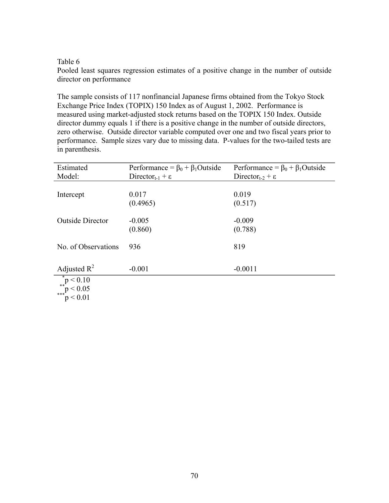Pooled least squares regression estimates of a positive change in the number of outside director on performance

The sample consists of 117 nonfinancial Japanese firms obtained from the Tokyo Stock Exchange Price Index (TOPIX) 150 Index as of August 1, 2002. Performance is measured using market-adjusted stock returns based on the TOPIX 150 Index. Outside director dummy equals 1 if there is a positive change in the number of outside directors, zero otherwise. Outside director variable computed over one and two fiscal years prior to performance. Sample sizes vary due to missing data. P-values for the two-tailed tests are in parenthesis.

| Estimated                                   | Performance = $\beta_0$ + $\beta_1$ Outside | Performance = $\beta_0$ + $\beta_1$ Outside |
|---------------------------------------------|---------------------------------------------|---------------------------------------------|
| Model:                                      | Director <sub>t-1</sub> + $\varepsilon$     | Director <sub>t-2</sub> + $\varepsilon$     |
|                                             |                                             |                                             |
| Intercept                                   | 0.017                                       | 0.019                                       |
|                                             | (0.4965)                                    | (0.517)                                     |
|                                             |                                             |                                             |
| <b>Outside Director</b>                     | $-0.005$                                    | $-0.009$                                    |
|                                             | (0.860)                                     | (0.788)                                     |
|                                             |                                             |                                             |
| No. of Observations                         | 936                                         | 819                                         |
|                                             |                                             |                                             |
|                                             |                                             |                                             |
| Adjusted $R^2$                              | $-0.001$                                    | $-0.0011$                                   |
| $p < 0.10$ $p < 0.05$ $p < 0.05$ $p < 0.01$ |                                             |                                             |
|                                             |                                             |                                             |
|                                             |                                             |                                             |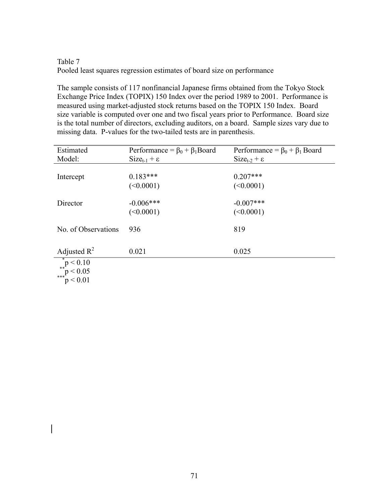# Table 7 Pooled least squares regression estimates of board size on performance

The sample consists of 117 nonfinancial Japanese firms obtained from the Tokyo Stock Exchange Price Index (TOPIX) 150 Index over the period 1989 to 2001. Performance is measured using market-adjusted stock returns based on the TOPIX 150 Index. Board size variable is computed over one and two fiscal years prior to Performance. Board size is the total number of directors, excluding auditors, on a board. Sample sizes vary due to missing data. P-values for the two-tailed tests are in parenthesis.

| Estimated                              | Performance = $\beta_0 + \beta_1$ Board | Performance = $\beta_0 + \beta_1$ Board |
|----------------------------------------|-----------------------------------------|-----------------------------------------|
| Model:                                 | $Size_{t-1} + \varepsilon$              | $Size_{t-2} + \varepsilon$              |
|                                        |                                         |                                         |
| Intercept                              | $0.183***$                              | $0.207***$                              |
|                                        | (<0.0001)                               | (<0.0001)                               |
|                                        |                                         |                                         |
| Director                               | $-0.006$ ***                            | $-0.007$ ***                            |
|                                        | (<0.0001)                               | (<0.0001)                               |
|                                        |                                         |                                         |
| No. of Observations                    | 936                                     | 819                                     |
|                                        |                                         |                                         |
|                                        |                                         |                                         |
| Adjusted $R^2$                         | 0.021                                   | 0.025                                   |
| $p < 0.10$<br>$p < 0.05$<br>$p < 0.05$ |                                         |                                         |
|                                        |                                         |                                         |
| p < 0.01                               |                                         |                                         |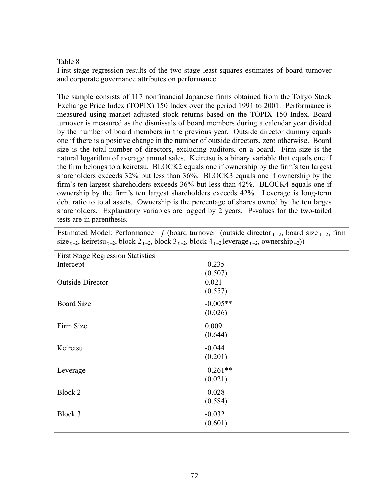First-stage regression results of the two-stage least squares estimates of board turnover and corporate governance attributes on performance

The sample consists of 117 nonfinancial Japanese firms obtained from the Tokyo Stock Exchange Price Index (TOPIX) 150 Index over the period 1991 to 2001. Performance is measured using market adjusted stock returns based on the TOPIX 150 Index. Board turnover is measured as the dismissals of board members during a calendar year divided by the number of board members in the previous year. Outside director dummy equals one if there is a positive change in the number of outside directors, zero otherwise. Board size is the total number of directors, excluding auditors, on a board. Firm size is the natural logarithm of average annual sales. Keiretsu is a binary variable that equals one if the firm belongs to a keiretsu. BLOCK2 equals one if ownership by the firm's ten largest shareholders exceeds 32% but less than 36%. BLOCK3 equals one if ownership by the firm's ten largest shareholders exceeds 36% but less than 42%. BLOCK4 equals one if ownership by the firm's ten largest shareholders exceeds 42%. Leverage is long-term debt ratio to total assets. Ownership is the percentage of shares owned by the ten larges shareholders. Explanatory variables are lagged by 2 years. P-values for the two-tailed tests are in parenthesis.

| Estimated Model: Performance = f (board turnover (outside director $_{t-2}$ , board size $_{t-2}$ , firm                        |  |
|---------------------------------------------------------------------------------------------------------------------------------|--|
| size $_{t-2}$ , keiretsu $_{t-2}$ , block $2_{t-2}$ , block $3_{t-2}$ , block $4_{t-2}$ leverage $_{t-2}$ , ownership $_{-2}$ ) |  |

| <b>First Stage Regression Statistics</b> |            |
|------------------------------------------|------------|
| Intercept                                | $-0.235$   |
|                                          | (0.507)    |
| <b>Outside Director</b>                  | 0.021      |
|                                          | (0.557)    |
| <b>Board Size</b>                        | $-0.005**$ |
|                                          | (0.026)    |
| Firm Size                                | 0.009      |
|                                          | (0.644)    |
|                                          |            |
| Keiretsu                                 | $-0.044$   |
|                                          | (0.201)    |
| Leverage                                 | $-0.261**$ |
|                                          | (0.021)    |
| Block 2                                  | $-0.028$   |
|                                          | (0.584)    |
|                                          |            |
| Block 3                                  | $-0.032$   |
|                                          | (0.601)    |
|                                          |            |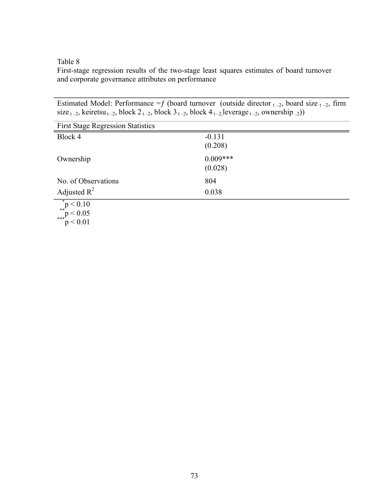First-stage regression results of the two-stage least squares estimates of board turnover and corporate governance attributes on performance

Estimated Model: Performance = f (board turnover (outside director  $_{t-2}$ , board size  $_{t-2}$ , firm size  $_{t-2}$ , keiretsu  $_{t-2}$ , block  $2_{t-2}$ , block  $3_{t-2}$ , block  $4_{t-2}$ , leverage  $_{t-2}$ , ownership –2))

| <b>First Stage Regression Statistics</b> |                       |
|------------------------------------------|-----------------------|
| Block 4                                  | $-0.131$<br>(0.208)   |
| Ownership                                | $0.009***$<br>(0.028) |
| No. of Observations                      | 804                   |
| Adjusted $R^2$                           | 0.038                 |
| *<br>$p < 0.10$<br>**<br>p < 0.05        |                       |

 $p < 0.05$ <br> $p < 0.01$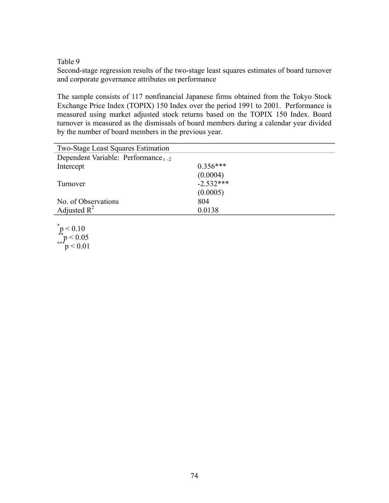Second-stage regression results of the two-stage least squares estimates of board turnover and corporate governance attributes on performance

The sample consists of 117 nonfinancial Japanese firms obtained from the Tokyo Stock Exchange Price Index (TOPIX) 150 Index over the period 1991 to 2001. Performance is measured using market adjusted stock returns based on the TOPIX 150 Index. Board turnover is measured as the dismissals of board members during a calendar year divided by the number of board members in the previous year.

| <b>Two-Stage Least Squares Estimation</b> |             |
|-------------------------------------------|-------------|
| Dependent Variable: Performance $_{t-2}$  |             |
| Intercept                                 | $0.356***$  |
|                                           | (0.0004)    |
| Turnover                                  | $-2.532***$ |
|                                           | (0.0005)    |
| No. of Observations                       | 804         |
|                                           | 0.0138      |
| Adjusted $R^2$                            |             |

 $p$  < 0.10  $*^{*}p < 0.05$ <br> $*^{*}p < 0.01$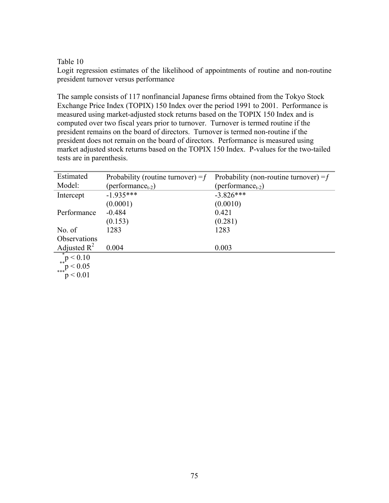Logit regression estimates of the likelihood of appointments of routine and non-routine president turnover versus performance

The sample consists of 117 nonfinancial Japanese firms obtained from the Tokyo Stock Exchange Price Index (TOPIX) 150 Index over the period 1991 to 2001. Performance is measured using market-adjusted stock returns based on the TOPIX 150 Index and is computed over two fiscal years prior to turnover. Turnover is termed routine if the president remains on the board of directors. Turnover is termed non-routine if the president does not remain on the board of directors. Performance is measured using market adjusted stock returns based on the TOPIX 150 Index. P-values for the two-tailed tests are in parenthesis.

| Estimated                                                                     | Probability (routine turnover) = $f$ | Probability (non-routine turnover) = $f$ |
|-------------------------------------------------------------------------------|--------------------------------------|------------------------------------------|
| Model:                                                                        | (performance <sub>t-2</sub> )        | (performance <sub>t-2</sub> )            |
| Intercept                                                                     | $-1.935***$                          | $-3.826***$                              |
|                                                                               | (0.0001)                             | (0.0010)                                 |
| Performance                                                                   | $-0.484$                             | 0.421                                    |
|                                                                               | (0.153)                              | (0.281)                                  |
| No. of                                                                        | 1283                                 | 1283                                     |
| Observations                                                                  |                                      |                                          |
|                                                                               | 0.004                                | 0.003                                    |
| Adjusted R <sup>2</sup><br><sup>*</sup> p < 0.10<br>**p < 0.05<br>***p < 0.01 |                                      |                                          |
|                                                                               |                                      |                                          |
|                                                                               |                                      |                                          |